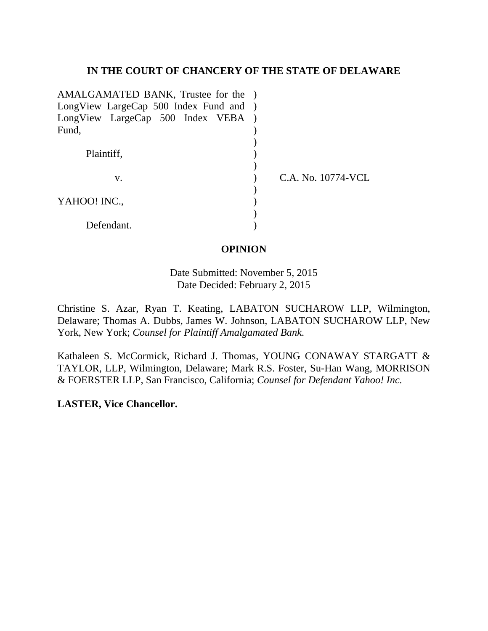# **IN THE COURT OF CHANCERY OF THE STATE OF DELAWARE**

| AMALGAMATED BANK, Trustee for the      |  |
|----------------------------------------|--|
| LongView LargeCap 500 Index Fund and ) |  |
| LongView LargeCap 500 Index VEBA )     |  |
| Fund,                                  |  |
|                                        |  |
| Plaintiff,                             |  |
|                                        |  |
| V.                                     |  |
|                                        |  |
| YAHOO! INC.,                           |  |
|                                        |  |
| Defendant.                             |  |

.. No. 10774-VCL

# **OPINION**

Date Submitted: November 5, 2015 Date Decided: February 2, 2015

Christine S. Azar, Ryan T. Keating, LABATON SUCHAROW LLP, Wilmington, Delaware; Thomas A. Dubbs, James W. Johnson, LABATON SUCHAROW LLP, New York, New York; *Counsel for Plaintiff Amalgamated Bank.*

Kathaleen S. McCormick, Richard J. Thomas, YOUNG CONAWAY STARGATT & TAYLOR, LLP, Wilmington, Delaware; Mark R.S. Foster, Su-Han Wang, MORRISON & FOERSTER LLP, San Francisco, California; *Counsel for Defendant Yahoo! Inc.* 

**LASTER, Vice Chancellor.**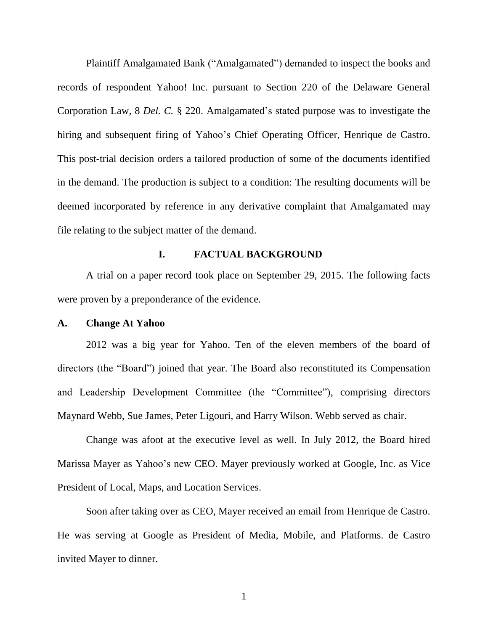Plaintiff Amalgamated Bank ("Amalgamated") demanded to inspect the books and records of respondent Yahoo! Inc. pursuant to Section 220 of the Delaware General Corporation Law, 8 *Del. C.* § 220. Amalgamated's stated purpose was to investigate the hiring and subsequent firing of Yahoo's Chief Operating Officer, Henrique de Castro. This post-trial decision orders a tailored production of some of the documents identified in the demand. The production is subject to a condition: The resulting documents will be deemed incorporated by reference in any derivative complaint that Amalgamated may file relating to the subject matter of the demand.

#### **I. FACTUAL BACKGROUND**

A trial on a paper record took place on September 29, 2015. The following facts were proven by a preponderance of the evidence.

# **A. Change At Yahoo**

2012 was a big year for Yahoo. Ten of the eleven members of the board of directors (the "Board") joined that year. The Board also reconstituted its Compensation and Leadership Development Committee (the "Committee"), comprising directors Maynard Webb, Sue James, Peter Ligouri, and Harry Wilson. Webb served as chair.

Change was afoot at the executive level as well. In July 2012, the Board hired Marissa Mayer as Yahoo's new CEO. Mayer previously worked at Google, Inc. as Vice President of Local, Maps, and Location Services.

Soon after taking over as CEO, Mayer received an email from Henrique de Castro. He was serving at Google as President of Media, Mobile, and Platforms. de Castro invited Mayer to dinner.

1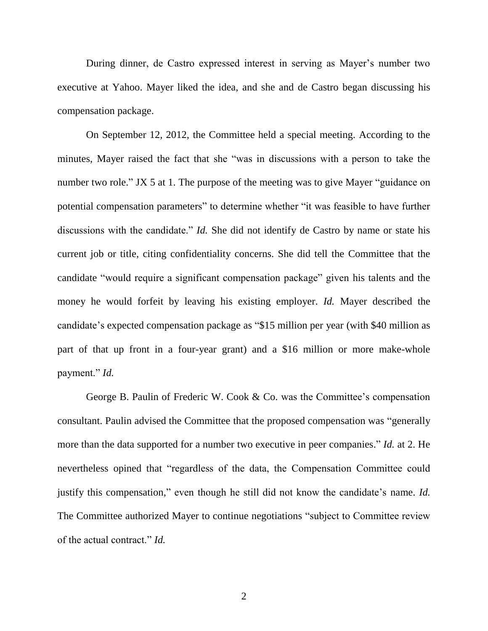During dinner, de Castro expressed interest in serving as Mayer's number two executive at Yahoo. Mayer liked the idea, and she and de Castro began discussing his compensation package.

On September 12, 2012, the Committee held a special meeting. According to the minutes, Mayer raised the fact that she "was in discussions with a person to take the number two role." JX 5 at 1. The purpose of the meeting was to give Mayer "guidance on potential compensation parameters" to determine whether "it was feasible to have further discussions with the candidate." *Id.* She did not identify de Castro by name or state his current job or title, citing confidentiality concerns. She did tell the Committee that the candidate "would require a significant compensation package" given his talents and the money he would forfeit by leaving his existing employer. *Id.* Mayer described the candidate's expected compensation package as "\$15 million per year (with \$40 million as part of that up front in a four-year grant) and a \$16 million or more make-whole payment." *Id.* 

George B. Paulin of Frederic W. Cook & Co. was the Committee's compensation consultant. Paulin advised the Committee that the proposed compensation was "generally more than the data supported for a number two executive in peer companies." *Id.* at 2. He nevertheless opined that "regardless of the data, the Compensation Committee could justify this compensation," even though he still did not know the candidate's name. *Id.* The Committee authorized Mayer to continue negotiations "subject to Committee review of the actual contract.‖ *Id.*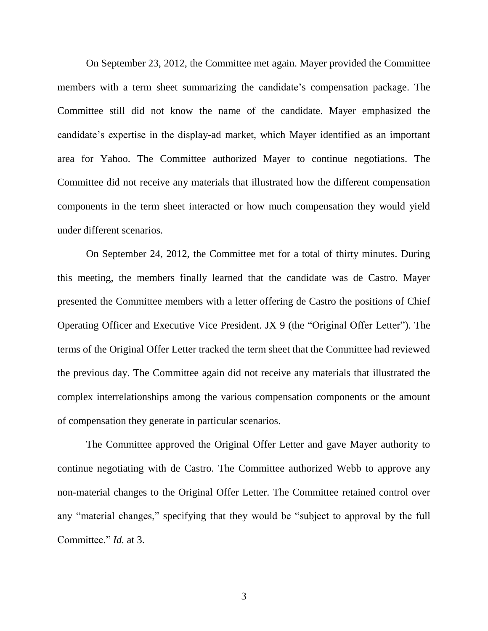On September 23, 2012, the Committee met again. Mayer provided the Committee members with a term sheet summarizing the candidate's compensation package. The Committee still did not know the name of the candidate. Mayer emphasized the candidate's expertise in the display-ad market, which Mayer identified as an important area for Yahoo. The Committee authorized Mayer to continue negotiations. The Committee did not receive any materials that illustrated how the different compensation components in the term sheet interacted or how much compensation they would yield under different scenarios.

On September 24, 2012, the Committee met for a total of thirty minutes. During this meeting, the members finally learned that the candidate was de Castro. Mayer presented the Committee members with a letter offering de Castro the positions of Chief Operating Officer and Executive Vice President. JX 9 (the "Original Offer Letter"). The terms of the Original Offer Letter tracked the term sheet that the Committee had reviewed the previous day. The Committee again did not receive any materials that illustrated the complex interrelationships among the various compensation components or the amount of compensation they generate in particular scenarios.

The Committee approved the Original Offer Letter and gave Mayer authority to continue negotiating with de Castro. The Committee authorized Webb to approve any non-material changes to the Original Offer Letter. The Committee retained control over any "material changes," specifying that they would be "subject to approval by the full Committee." *Id.* at 3.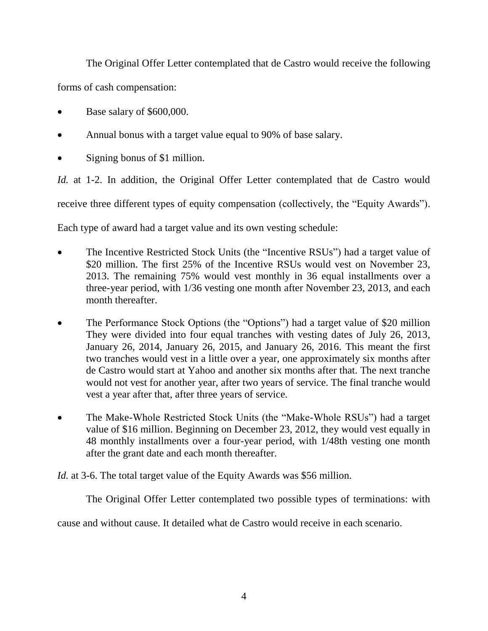The Original Offer Letter contemplated that de Castro would receive the following

forms of cash compensation:

- Base salary of \$600,000.
- Annual bonus with a target value equal to 90% of base salary.
- Signing bonus of \$1 million.

*Id.* at 1-2. In addition, the Original Offer Letter contemplated that de Castro would

receive three different types of equity compensation (collectively, the "Equity Awards").

Each type of award had a target value and its own vesting schedule:

- The Incentive Restricted Stock Units (the "Incentive RSUs") had a target value of \$20 million. The first 25% of the Incentive RSUs would vest on November 23, 2013. The remaining 75% would vest monthly in 36 equal installments over a three-year period, with 1/36 vesting one month after November 23, 2013, and each month thereafter.
- The Performance Stock Options (the "Options") had a target value of \$20 million They were divided into four equal tranches with vesting dates of July 26, 2013, January 26, 2014, January 26, 2015, and January 26, 2016. This meant the first two tranches would vest in a little over a year, one approximately six months after de Castro would start at Yahoo and another six months after that. The next tranche would not vest for another year, after two years of service. The final tranche would vest a year after that, after three years of service.
- The Make-Whole Restricted Stock Units (the "Make-Whole RSUs") had a target value of \$16 million. Beginning on December 23, 2012, they would vest equally in 48 monthly installments over a four-year period, with 1/48th vesting one month after the grant date and each month thereafter.

*Id.* at 3-6. The total target value of the Equity Awards was \$56 million.

The Original Offer Letter contemplated two possible types of terminations: with

cause and without cause. It detailed what de Castro would receive in each scenario.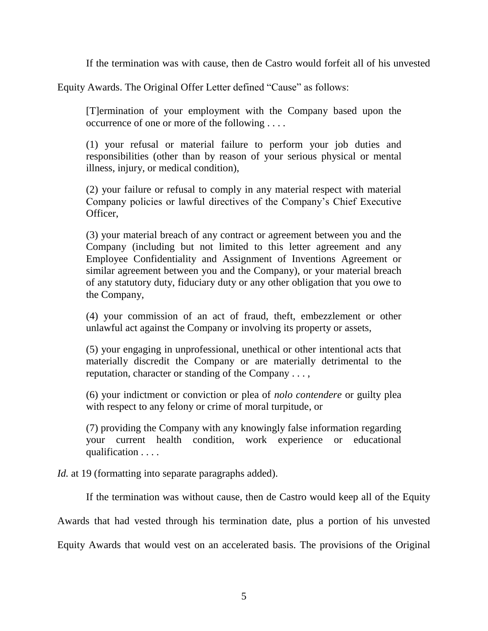If the termination was with cause, then de Castro would forfeit all of his unvested

Equity Awards. The Original Offer Letter defined "Cause" as follows:

[T]ermination of your employment with the Company based upon the occurrence of one or more of the following . . . .

(1) your refusal or material failure to perform your job duties and responsibilities (other than by reason of your serious physical or mental illness, injury, or medical condition),

(2) your failure or refusal to comply in any material respect with material Company policies or lawful directives of the Company's Chief Executive Officer,

(3) your material breach of any contract or agreement between you and the Company (including but not limited to this letter agreement and any Employee Confidentiality and Assignment of Inventions Agreement or similar agreement between you and the Company), or your material breach of any statutory duty, fiduciary duty or any other obligation that you owe to the Company,

(4) your commission of an act of fraud, theft, embezzlement or other unlawful act against the Company or involving its property or assets,

(5) your engaging in unprofessional, unethical or other intentional acts that materially discredit the Company or are materially detrimental to the reputation, character or standing of the Company . . . ,

(6) your indictment or conviction or plea of *nolo contendere* or guilty plea with respect to any felony or crime of moral turpitude, or

(7) providing the Company with any knowingly false information regarding your current health condition, work experience or educational qualification . . . .

*Id.* at 19 (formatting into separate paragraphs added).

If the termination was without cause, then de Castro would keep all of the Equity

Awards that had vested through his termination date, plus a portion of his unvested

Equity Awards that would vest on an accelerated basis. The provisions of the Original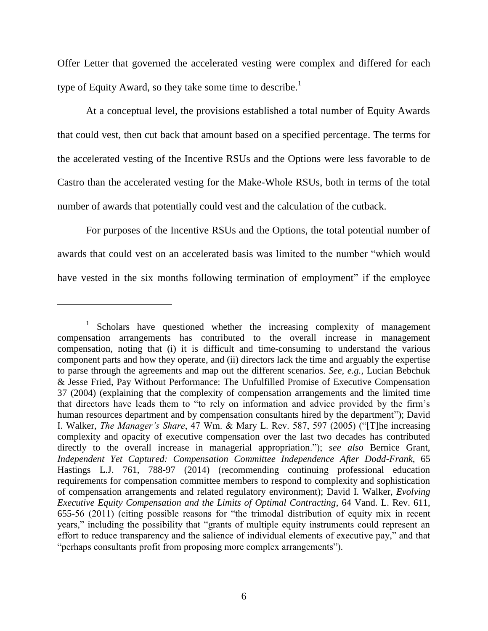Offer Letter that governed the accelerated vesting were complex and differed for each type of Equity Award, so they take some time to describe.<sup>1</sup>

At a conceptual level, the provisions established a total number of Equity Awards that could vest, then cut back that amount based on a specified percentage. The terms for the accelerated vesting of the Incentive RSUs and the Options were less favorable to de Castro than the accelerated vesting for the Make-Whole RSUs, both in terms of the total number of awards that potentially could vest and the calculation of the cutback.

For purposes of the Incentive RSUs and the Options, the total potential number of awards that could vest on an accelerated basis was limited to the number "which would have vested in the six months following termination of employment" if the employee

 $\overline{a}$ 

<sup>1</sup> Scholars have questioned whether the increasing complexity of management compensation arrangements has contributed to the overall increase in management compensation, noting that (i) it is difficult and time-consuming to understand the various component parts and how they operate, and (ii) directors lack the time and arguably the expertise to parse through the agreements and map out the different scenarios. *See, e.g.*, Lucian Bebchuk & Jesse Fried, Pay Without Performance: The Unfulfilled Promise of Executive Compensation 37 (2004) (explaining that the complexity of compensation arrangements and the limited time that directors have leads them to "to rely on information and advice provided by the firm's human resources department and by compensation consultants hired by the department"); David I. Walker, *The Manager's Share*, 47 Wm. & Mary L. Rev. 587, 597 (2005) ("[T]he increasing complexity and opacity of executive compensation over the last two decades has contributed directly to the overall increase in managerial appropriation."); *see also* Bernice Grant, *Independent Yet Captured: Compensation Committee Independence After Dodd-Frank*, 65 Hastings L.J. 761, 788-97 (2014) (recommending continuing professional education requirements for compensation committee members to respond to complexity and sophistication of compensation arrangements and related regulatory environment); David I. Walker, *Evolving Executive Equity Compensation and the Limits of Optimal Contracting*, 64 Vand. L. Rev. 611,  $655-56$  (2011) (citing possible reasons for "the trimodal distribution of equity mix in recent years," including the possibility that "grants of multiple equity instruments could represent an effort to reduce transparency and the salience of individual elements of executive pay," and that "perhaps consultants profit from proposing more complex arrangements").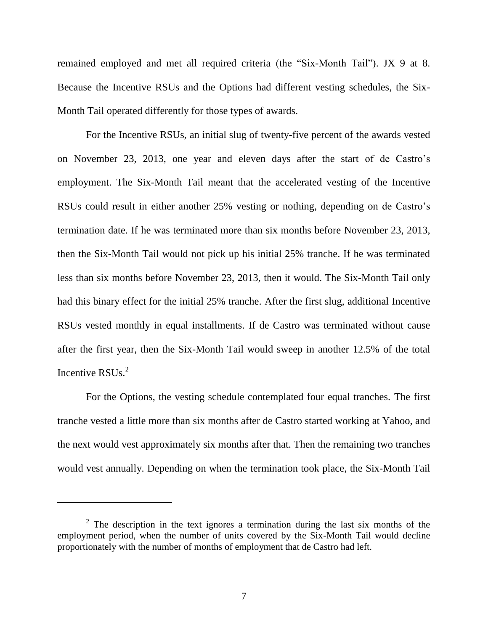remained employed and met all required criteria (the "Six-Month Tail"). JX 9 at 8. Because the Incentive RSUs and the Options had different vesting schedules, the Six-Month Tail operated differently for those types of awards.

For the Incentive RSUs, an initial slug of twenty-five percent of the awards vested on November 23, 2013, one year and eleven days after the start of de Castro's employment. The Six-Month Tail meant that the accelerated vesting of the Incentive RSUs could result in either another 25% vesting or nothing, depending on de Castro's termination date. If he was terminated more than six months before November 23, 2013, then the Six-Month Tail would not pick up his initial 25% tranche. If he was terminated less than six months before November 23, 2013, then it would. The Six-Month Tail only had this binary effect for the initial 25% tranche. After the first slug, additional Incentive RSUs vested monthly in equal installments. If de Castro was terminated without cause after the first year, then the Six-Month Tail would sweep in another 12.5% of the total Incentive RSUs.<sup>2</sup>

For the Options, the vesting schedule contemplated four equal tranches. The first tranche vested a little more than six months after de Castro started working at Yahoo, and the next would vest approximately six months after that. Then the remaining two tranches would vest annually. Depending on when the termination took place, the Six-Month Tail

<sup>&</sup>lt;sup>2</sup> The description in the text ignores a termination during the last six months of the employment period, when the number of units covered by the Six-Month Tail would decline proportionately with the number of months of employment that de Castro had left.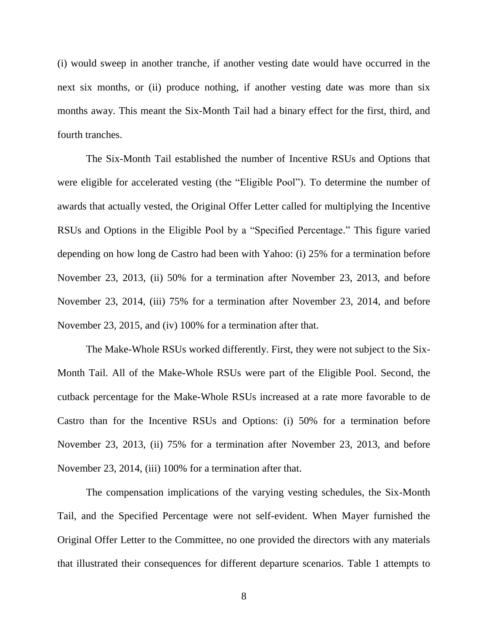(i) would sweep in another tranche, if another vesting date would have occurred in the next six months, or (ii) produce nothing, if another vesting date was more than six months away. This meant the Six-Month Tail had a binary effect for the first, third, and fourth tranches.

The Six-Month Tail established the number of Incentive RSUs and Options that were eligible for accelerated vesting (the "Eligible Pool"). To determine the number of awards that actually vested, the Original Offer Letter called for multiplying the Incentive RSUs and Options in the Eligible Pool by a "Specified Percentage." This figure varied depending on how long de Castro had been with Yahoo: (i) 25% for a termination before November 23, 2013, (ii) 50% for a termination after November 23, 2013, and before November 23, 2014, (iii) 75% for a termination after November 23, 2014, and before November 23, 2015, and (iv) 100% for a termination after that.

The Make-Whole RSUs worked differently. First, they were not subject to the Six-Month Tail. All of the Make-Whole RSUs were part of the Eligible Pool. Second, the cutback percentage for the Make-Whole RSUs increased at a rate more favorable to de Castro than for the Incentive RSUs and Options: (i) 50% for a termination before November 23, 2013, (ii) 75% for a termination after November 23, 2013, and before November 23, 2014, (iii) 100% for a termination after that.

The compensation implications of the varying vesting schedules, the Six-Month Tail, and the Specified Percentage were not self-evident. When Mayer furnished the Original Offer Letter to the Committee, no one provided the directors with any materials that illustrated their consequences for different departure scenarios. Table 1 attempts to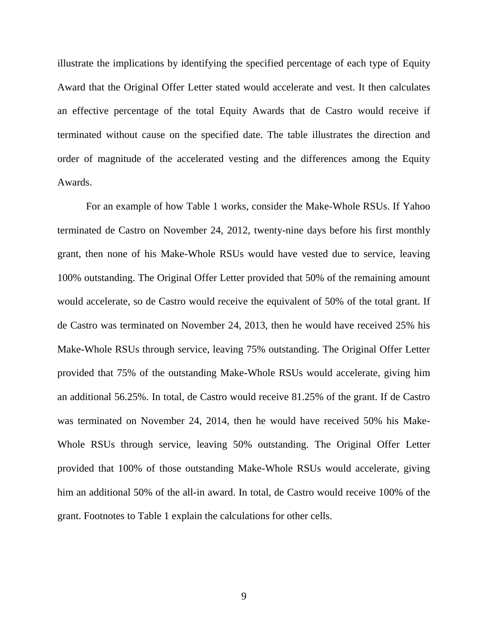illustrate the implications by identifying the specified percentage of each type of Equity Award that the Original Offer Letter stated would accelerate and vest. It then calculates an effective percentage of the total Equity Awards that de Castro would receive if terminated without cause on the specified date. The table illustrates the direction and order of magnitude of the accelerated vesting and the differences among the Equity Awards.

For an example of how Table 1 works, consider the Make-Whole RSUs. If Yahoo terminated de Castro on November 24, 2012, twenty-nine days before his first monthly grant, then none of his Make-Whole RSUs would have vested due to service, leaving 100% outstanding. The Original Offer Letter provided that 50% of the remaining amount would accelerate, so de Castro would receive the equivalent of 50% of the total grant. If de Castro was terminated on November 24, 2013, then he would have received 25% his Make-Whole RSUs through service, leaving 75% outstanding. The Original Offer Letter provided that 75% of the outstanding Make-Whole RSUs would accelerate, giving him an additional 56.25%. In total, de Castro would receive 81.25% of the grant. If de Castro was terminated on November 24, 2014, then he would have received 50% his Make-Whole RSUs through service, leaving 50% outstanding. The Original Offer Letter provided that 100% of those outstanding Make-Whole RSUs would accelerate, giving him an additional 50% of the all-in award. In total, de Castro would receive 100% of the grant. Footnotes to Table 1 explain the calculations for other cells.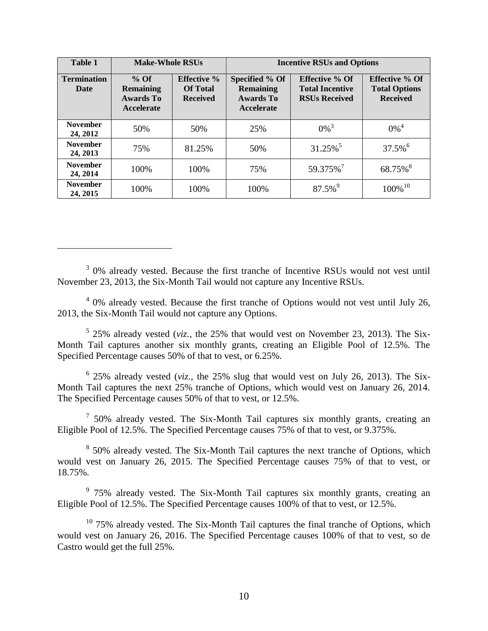| <b>Table 1</b>              | <b>Make-Whole RSUs</b>                                       |                                                          | <b>Incentive RSUs and Options</b>                                    |                                                                         |                                                                  |  |  |
|-----------------------------|--------------------------------------------------------------|----------------------------------------------------------|----------------------------------------------------------------------|-------------------------------------------------------------------------|------------------------------------------------------------------|--|--|
| <b>Termination</b><br>Date  | $%$ Of<br><b>Remaining</b><br><b>Awards</b> To<br>Accelerate | <b>Effective %</b><br><b>Of Total</b><br><b>Received</b> | Specified % Of<br><b>Remaining</b><br><b>Awards</b> To<br>Accelerate | <b>Effective % Of</b><br><b>Total Incentive</b><br><b>RSUs Received</b> | <b>Effective % Of</b><br><b>Total Options</b><br><b>Received</b> |  |  |
| <b>November</b><br>24, 2012 | 50%                                                          | 50%                                                      | 25%                                                                  | $0\%$ <sup>3</sup>                                                      | $0\%$ <sup>4</sup>                                               |  |  |
| <b>November</b><br>24, 2013 | 75%                                                          | 81.25%                                                   | 50%                                                                  | $31.25\%$ <sup>5</sup>                                                  | $37.5\%$ <sup>6</sup>                                            |  |  |
| <b>November</b><br>24, 2014 | 100%                                                         | 100%                                                     | 75%                                                                  | 59.375% <sup>7</sup>                                                    | 68.75% <sup>8</sup>                                              |  |  |
| <b>November</b><br>24, 2015 | 100%                                                         | 100%                                                     | 100%                                                                 | 87.5% <sup>9</sup>                                                      | $100\%$ <sup>10</sup>                                            |  |  |

<sup>3</sup> 0% already vested. Because the first tranche of Incentive RSUs would not vest until November 23, 2013, the Six-Month Tail would not capture any Incentive RSUs.

 $\overline{a}$ 

 $40\%$  already vested. Because the first tranche of Options would not vest until July 26, 2013, the Six-Month Tail would not capture any Options.

 $5$  25% already vested (*viz.*, the 25% that would vest on November 23, 2013). The Six-Month Tail captures another six monthly grants, creating an Eligible Pool of 12.5%. The Specified Percentage causes 50% of that to vest, or 6.25%.

 $6$  25% already vested (*viz.*, the 25% slug that would vest on July 26, 2013). The Six-Month Tail captures the next 25% tranche of Options, which would vest on January 26, 2014. The Specified Percentage causes 50% of that to vest, or 12.5%.

 $7\,$  50% already vested. The Six-Month Tail captures six monthly grants, creating an Eligible Pool of 12.5%. The Specified Percentage causes 75% of that to vest, or 9.375%.

<sup>8</sup> 50% already vested. The Six-Month Tail captures the next tranche of Options, which would vest on January 26, 2015. The Specified Percentage causes 75% of that to vest, or 18.75%.

<sup>9</sup> 75% already vested. The Six-Month Tail captures six monthly grants, creating an Eligible Pool of 12.5%. The Specified Percentage causes 100% of that to vest, or 12.5%.

<sup>10</sup> 75% already vested. The Six-Month Tail captures the final tranche of Options, which would vest on January 26, 2016. The Specified Percentage causes 100% of that to vest, so de Castro would get the full 25%.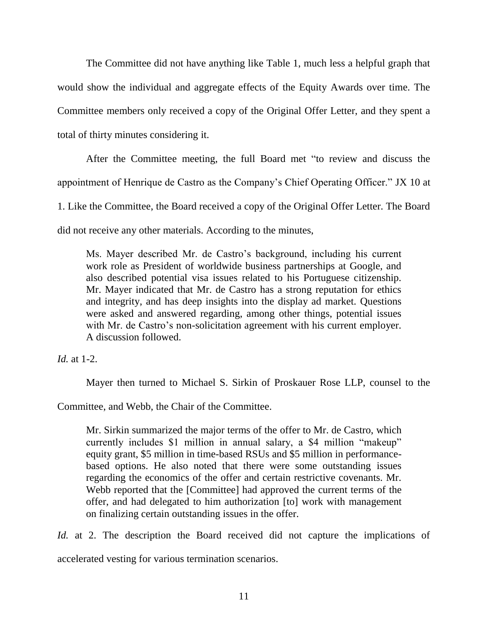The Committee did not have anything like Table 1, much less a helpful graph that would show the individual and aggregate effects of the Equity Awards over time. The Committee members only received a copy of the Original Offer Letter, and they spent a total of thirty minutes considering it.

After the Committee meeting, the full Board met "to review and discuss the appointment of Henrique de Castro as the Company's Chief Operating Officer." JX 10 at 1. Like the Committee, the Board received a copy of the Original Offer Letter. The Board did not receive any other materials. According to the minutes,

Ms. Mayer described Mr. de Castro's background, including his current work role as President of worldwide business partnerships at Google, and also described potential visa issues related to his Portuguese citizenship. Mr. Mayer indicated that Mr. de Castro has a strong reputation for ethics and integrity, and has deep insights into the display ad market. Questions were asked and answered regarding, among other things, potential issues with Mr. de Castro's non-solicitation agreement with his current employer. A discussion followed.

*Id.* at 1-2.

Mayer then turned to Michael S. Sirkin of Proskauer Rose LLP, counsel to the

Committee, and Webb, the Chair of the Committee.

Mr. Sirkin summarized the major terms of the offer to Mr. de Castro, which currently includes \$1 million in annual salary, a \$4 million "makeup" equity grant, \$5 million in time-based RSUs and \$5 million in performancebased options. He also noted that there were some outstanding issues regarding the economics of the offer and certain restrictive covenants. Mr. Webb reported that the [Committee] had approved the current terms of the offer, and had delegated to him authorization [to] work with management on finalizing certain outstanding issues in the offer.

*Id.* at 2. The description the Board received did not capture the implications of accelerated vesting for various termination scenarios.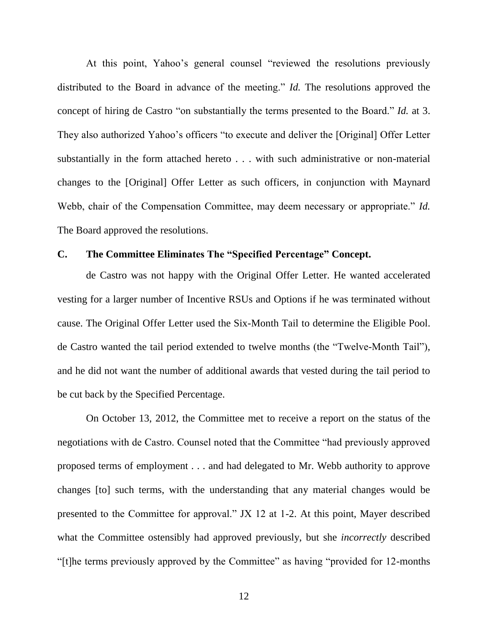At this point, Yahoo's general counsel "reviewed the resolutions previously distributed to the Board in advance of the meeting." *Id.* The resolutions approved the concept of hiring de Castro "on substantially the terms presented to the Board." *Id.* at 3. They also authorized Yahoo's officers "to execute and deliver the [Original] Offer Letter substantially in the form attached hereto . . . with such administrative or non-material changes to the [Original] Offer Letter as such officers, in conjunction with Maynard Webb, chair of the Compensation Committee, may deem necessary or appropriate." *Id.* The Board approved the resolutions.

#### **C. The Committee Eliminates The "Specified Percentage" Concept.**

de Castro was not happy with the Original Offer Letter. He wanted accelerated vesting for a larger number of Incentive RSUs and Options if he was terminated without cause. The Original Offer Letter used the Six-Month Tail to determine the Eligible Pool. de Castro wanted the tail period extended to twelve months (the "Twelve-Month Tail"), and he did not want the number of additional awards that vested during the tail period to be cut back by the Specified Percentage.

On October 13, 2012, the Committee met to receive a report on the status of the negotiations with de Castro. Counsel noted that the Committee "had previously approved proposed terms of employment . . . and had delegated to Mr. Webb authority to approve changes [to] such terms, with the understanding that any material changes would be presented to the Committee for approval." JX 12 at 1-2. At this point, Mayer described what the Committee ostensibly had approved previously, but she *incorrectly* described "[t]he terms previously approved by the Committee" as having "provided for 12-months"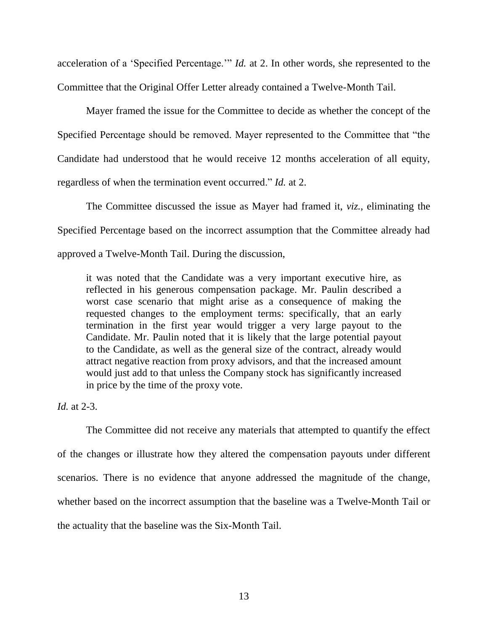acceleration of a 'Specified Percentage.'" *Id.* at 2. In other words, she represented to the Committee that the Original Offer Letter already contained a Twelve-Month Tail.

Mayer framed the issue for the Committee to decide as whether the concept of the Specified Percentage should be removed. Mayer represented to the Committee that "the Candidate had understood that he would receive 12 months acceleration of all equity, regardless of when the termination event occurred." *Id.* at 2.

The Committee discussed the issue as Mayer had framed it, *viz.*, eliminating the Specified Percentage based on the incorrect assumption that the Committee already had approved a Twelve-Month Tail. During the discussion,

it was noted that the Candidate was a very important executive hire, as reflected in his generous compensation package. Mr. Paulin described a worst case scenario that might arise as a consequence of making the requested changes to the employment terms: specifically, that an early termination in the first year would trigger a very large payout to the Candidate. Mr. Paulin noted that it is likely that the large potential payout to the Candidate, as well as the general size of the contract, already would attract negative reaction from proxy advisors, and that the increased amount would just add to that unless the Company stock has significantly increased in price by the time of the proxy vote.

*Id.* at 2-3.

The Committee did not receive any materials that attempted to quantify the effect of the changes or illustrate how they altered the compensation payouts under different scenarios. There is no evidence that anyone addressed the magnitude of the change, whether based on the incorrect assumption that the baseline was a Twelve-Month Tail or the actuality that the baseline was the Six-Month Tail.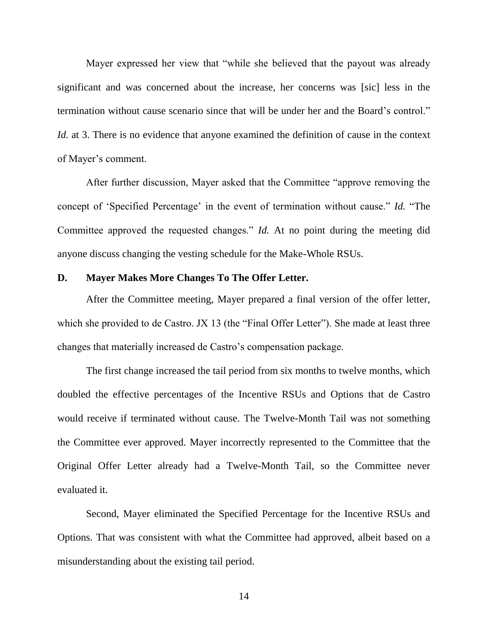Mayer expressed her view that "while she believed that the payout was already significant and was concerned about the increase, her concerns was [sic] less in the termination without cause scenario since that will be under her and the Board's control." *Id.* at 3. There is no evidence that anyone examined the definition of cause in the context of Mayer's comment.

After further discussion, Mayer asked that the Committee "approve removing the concept of 'Specified Percentage' in the event of termination without cause." *Id.* "The Committee approved the requested changes." *Id.* At no point during the meeting did anyone discuss changing the vesting schedule for the Make-Whole RSUs.

#### **D. Mayer Makes More Changes To The Offer Letter.**

After the Committee meeting, Mayer prepared a final version of the offer letter, which she provided to de Castro. JX 13 (the "Final Offer Letter"). She made at least three changes that materially increased de Castro's compensation package.

The first change increased the tail period from six months to twelve months, which doubled the effective percentages of the Incentive RSUs and Options that de Castro would receive if terminated without cause. The Twelve-Month Tail was not something the Committee ever approved. Mayer incorrectly represented to the Committee that the Original Offer Letter already had a Twelve-Month Tail, so the Committee never evaluated it.

Second, Mayer eliminated the Specified Percentage for the Incentive RSUs and Options. That was consistent with what the Committee had approved, albeit based on a misunderstanding about the existing tail period.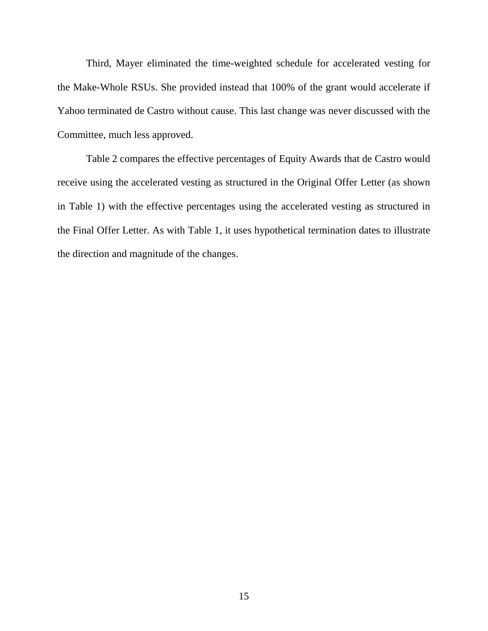Third, Mayer eliminated the time-weighted schedule for accelerated vesting for the Make-Whole RSUs. She provided instead that 100% of the grant would accelerate if Yahoo terminated de Castro without cause. This last change was never discussed with the Committee, much less approved.

Table 2 compares the effective percentages of Equity Awards that de Castro would receive using the accelerated vesting as structured in the Original Offer Letter (as shown in Table 1) with the effective percentages using the accelerated vesting as structured in the Final Offer Letter. As with Table 1, it uses hypothetical termination dates to illustrate the direction and magnitude of the changes.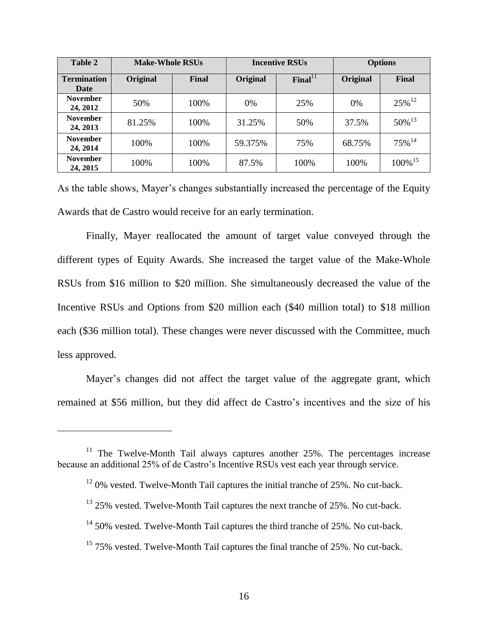| Table 2                     | <b>Make-Whole RSUs</b> |       |                                 | <b>Incentive RSUs</b> | <b>Options</b> |                       |  |
|-----------------------------|------------------------|-------|---------------------------------|-----------------------|----------------|-----------------------|--|
| <b>Termination</b><br>Date  | Original               | Final | Final <sup>11</sup><br>Original |                       | Original       | Final                 |  |
| <b>November</b><br>24, 2012 | 50%                    | 100%  | 0%                              | 25%                   | 0%             | $25\%$ <sup>12</sup>  |  |
| <b>November</b><br>24, 2013 | 81.25%                 | 100%  | 31.25%                          | 50%                   | 37.5%          | $50\%$ <sup>13</sup>  |  |
| <b>November</b><br>24, 2014 | 100%                   | 100%  | 59.375%                         | 75%                   | 68.75%         | 75% <sup>14</sup>     |  |
| <b>November</b><br>24, 2015 | 100%                   | 100%  | 87.5%                           | 100%                  | 100%           | $100\%$ <sup>15</sup> |  |

As the table shows, Mayer's changes substantially increased the percentage of the Equity Awards that de Castro would receive for an early termination.

Finally, Mayer reallocated the amount of target value conveyed through the different types of Equity Awards. She increased the target value of the Make-Whole RSUs from \$16 million to \$20 million. She simultaneously decreased the value of the Incentive RSUs and Options from \$20 million each (\$40 million total) to \$18 million each (\$36 million total). These changes were never discussed with the Committee, much less approved.

Mayer's changes did not affect the target value of the aggregate grant, which remained at \$56 million, but they did affect de Castro's incentives and the size of his

 $\overline{a}$ 

- $13$  25% vested. Twelve-Month Tail captures the next tranche of 25%. No cut-back.
- <sup>14</sup> 50% vested. Twelve-Month Tail captures the third tranche of 25%. No cut-back.
- <sup>15</sup> 75% vested. Twelve-Month Tail captures the final tranche of 25%. No cut-back.

<sup>&</sup>lt;sup>11</sup> The Twelve-Month Tail always captures another  $25\%$ . The percentages increase because an additional 25% of de Castro's Incentive RSUs vest each year through service.

 $12$  0% vested. Twelve-Month Tail captures the initial tranche of 25%. No cut-back.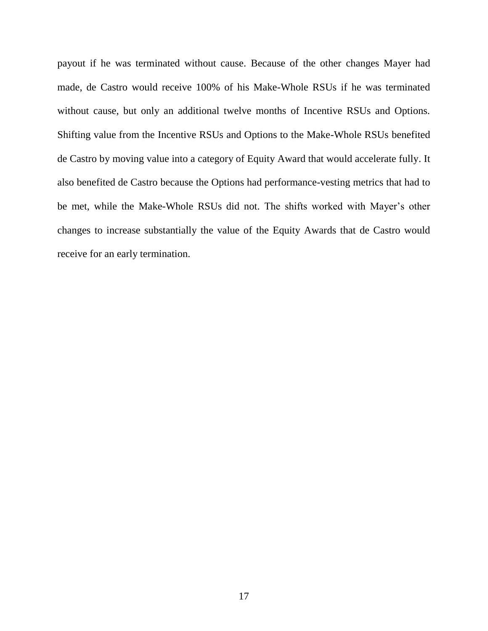payout if he was terminated without cause. Because of the other changes Mayer had made, de Castro would receive 100% of his Make-Whole RSUs if he was terminated without cause, but only an additional twelve months of Incentive RSUs and Options. Shifting value from the Incentive RSUs and Options to the Make-Whole RSUs benefited de Castro by moving value into a category of Equity Award that would accelerate fully. It also benefited de Castro because the Options had performance-vesting metrics that had to be met, while the Make-Whole RSUs did not. The shifts worked with Mayer's other changes to increase substantially the value of the Equity Awards that de Castro would receive for an early termination.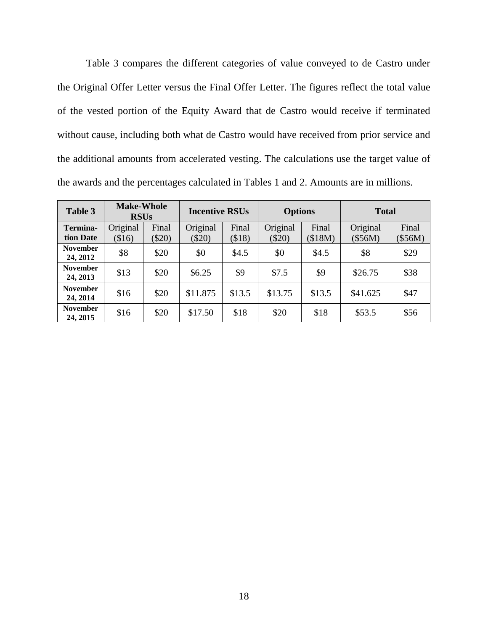Table 3 compares the different categories of value conveyed to de Castro under the Original Offer Letter versus the Final Offer Letter. The figures reflect the total value of the vested portion of the Equity Award that de Castro would receive if terminated without cause, including both what de Castro would have received from prior service and the additional amounts from accelerated vesting. The calculations use the target value of the awards and the percentages calculated in Tables 1 and 2. Amounts are in millions.

| Table 3                     | <b>Make-Whole</b><br><b>RSUs</b> |                   | <b>Incentive RSUs</b> |                | <b>Options</b>       |                  | <b>Total</b>        |                  |
|-----------------------------|----------------------------------|-------------------|-----------------------|----------------|----------------------|------------------|---------------------|------------------|
| Termina-<br>tion Date       | Original<br>\$16)                | Final<br>$(\$20)$ | Original<br>$(\$20)$  | Final<br>\$18) | Original<br>$(\$20)$ | Final<br>(\$18M) | Original<br>(\$56M) | Final<br>(\$56M) |
| <b>November</b><br>24, 2012 | \$8                              | \$20              | \$0                   | \$4.5          | \$0                  | \$4.5            | \$8                 | \$29             |
| <b>November</b><br>24, 2013 | \$13                             | \$20              | \$6.25                | \$9            | \$7.5                | \$9              | \$26.75             | \$38             |
| <b>November</b><br>24, 2014 | \$16                             | \$20              | \$11.875              | \$13.5         | \$13.75              | \$13.5           | \$41.625            | \$47             |
| <b>November</b><br>24, 2015 | \$16                             | \$20              | \$17.50               | \$18           | \$20                 | \$18             | \$53.5              | \$56             |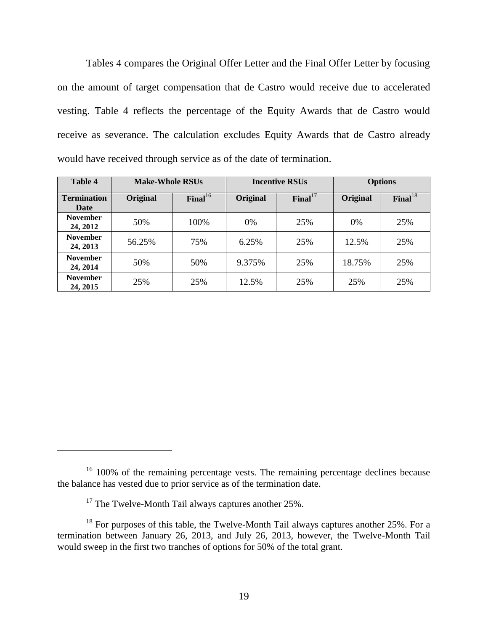Tables 4 compares the Original Offer Letter and the Final Offer Letter by focusing on the amount of target compensation that de Castro would receive due to accelerated vesting. Table 4 reflects the percentage of the Equity Awards that de Castro would receive as severance. The calculation excludes Equity Awards that de Castro already would have received through service as of the date of termination.

| Table 4                     | <b>Make-Whole RSUs</b> |                     |                                 | <b>Incentive RSUs</b> | <b>Options</b> |                     |  |
|-----------------------------|------------------------|---------------------|---------------------------------|-----------------------|----------------|---------------------|--|
| <b>Termination</b><br>Date  | Original               | Final <sup>16</sup> | Final <sup>17</sup><br>Original |                       | Original       | Final <sup>18</sup> |  |
| <b>November</b><br>24, 2012 | 50%                    | 100%                | 0%                              | 25%                   | 0%             | 25%                 |  |
| <b>November</b><br>24, 2013 | 56.25%                 | 75%                 | 6.25%                           | 25%                   | 12.5%          | 25%                 |  |
| <b>November</b><br>24, 2014 | 50%                    | 50%                 | 9.375%                          | 25%                   | 18.75%         | 25%                 |  |
| <b>November</b><br>24, 2015 | 25%                    | 25%                 | 12.5%                           | 25%                   | 25%            | 25%                 |  |

 $\overline{a}$ 

<sup>&</sup>lt;sup>16</sup> 100% of the remaining percentage vests. The remaining percentage declines because the balance has vested due to prior service as of the termination date.

 $17$  The Twelve-Month Tail always captures another 25%.

 $18$  For purposes of this table, the Twelve-Month Tail always captures another 25%. For a termination between January 26, 2013, and July 26, 2013, however, the Twelve-Month Tail would sweep in the first two tranches of options for 50% of the total grant.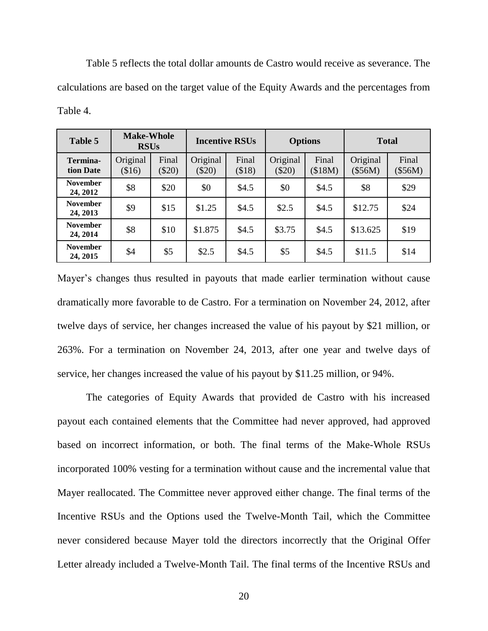Table 5 reflects the total dollar amounts de Castro would receive as severance. The calculations are based on the target value of the Equity Awards and the percentages from Table 4.

| Table 5                     | <b>Make-Whole</b><br><b>RSUs</b> |                   | <b>Incentive RSUs</b> |                | <b>Options</b>       |                  | <b>Total</b>        |                    |
|-----------------------------|----------------------------------|-------------------|-----------------------|----------------|----------------------|------------------|---------------------|--------------------|
| Termina-<br>tion Date       | Original<br>\$16)                | Final<br>$(\$20)$ | Original<br>$(\$20)$  | Final<br>\$18) | Original<br>$(\$20)$ | Final<br>(\$18M) | Original<br>(\$56M) | Final<br>$(\$56M)$ |
| <b>November</b><br>24, 2012 | \$8                              | \$20              | \$0                   | \$4.5          | \$0                  | \$4.5            | \$8                 | \$29               |
| <b>November</b><br>24, 2013 | \$9                              | \$15              | \$1.25                | \$4.5          | \$2.5                | \$4.5            | \$12.75             | \$24               |
| <b>November</b><br>24, 2014 | \$8                              | \$10              | \$1.875               | \$4.5          | \$3.75               | \$4.5            | \$13.625            | \$19               |
| <b>November</b><br>24, 2015 | \$4                              | \$5               | \$2.5                 | \$4.5          | \$5                  | \$4.5            | \$11.5              | \$14               |

Mayer's changes thus resulted in payouts that made earlier termination without cause dramatically more favorable to de Castro. For a termination on November 24, 2012, after twelve days of service, her changes increased the value of his payout by \$21 million, or 263%. For a termination on November 24, 2013, after one year and twelve days of service, her changes increased the value of his payout by \$11.25 million, or 94%.

The categories of Equity Awards that provided de Castro with his increased payout each contained elements that the Committee had never approved, had approved based on incorrect information, or both. The final terms of the Make-Whole RSUs incorporated 100% vesting for a termination without cause and the incremental value that Mayer reallocated. The Committee never approved either change. The final terms of the Incentive RSUs and the Options used the Twelve-Month Tail, which the Committee never considered because Mayer told the directors incorrectly that the Original Offer Letter already included a Twelve-Month Tail. The final terms of the Incentive RSUs and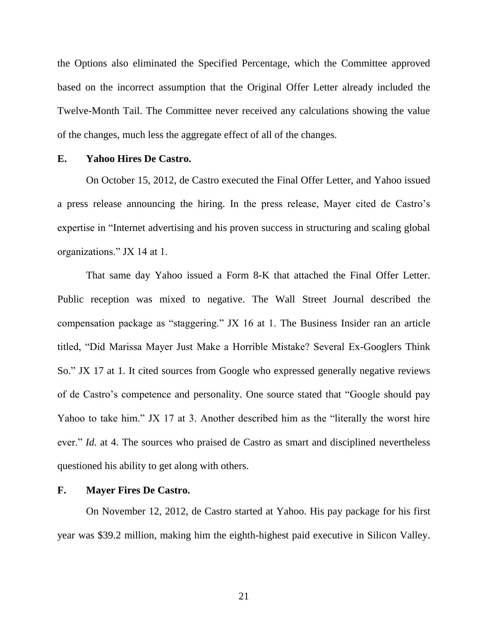the Options also eliminated the Specified Percentage, which the Committee approved based on the incorrect assumption that the Original Offer Letter already included the Twelve-Month Tail. The Committee never received any calculations showing the value of the changes, much less the aggregate effect of all of the changes.

## **E. Yahoo Hires De Castro.**

On October 15, 2012, de Castro executed the Final Offer Letter, and Yahoo issued a press release announcing the hiring. In the press release, Mayer cited de Castro's expertise in "Internet advertising and his proven success in structuring and scaling global organizations.‖ JX 14 at 1.

That same day Yahoo issued a Form 8-K that attached the Final Offer Letter. Public reception was mixed to negative. The Wall Street Journal described the compensation package as "staggering." JX 16 at 1. The Business Insider ran an article titled, "Did Marissa Mayer Just Make a Horrible Mistake? Several Ex-Googlers Think So." JX 17 at 1. It cited sources from Google who expressed generally negative reviews of de Castro's competence and personality. One source stated that "Google should pay Yahoo to take him." JX 17 at 3. Another described him as the "literally the worst hire ever." *Id.* at 4. The sources who praised de Castro as smart and disciplined nevertheless questioned his ability to get along with others.

#### **F. Mayer Fires De Castro.**

On November 12, 2012, de Castro started at Yahoo. His pay package for his first year was \$39.2 million, making him the eighth-highest paid executive in Silicon Valley.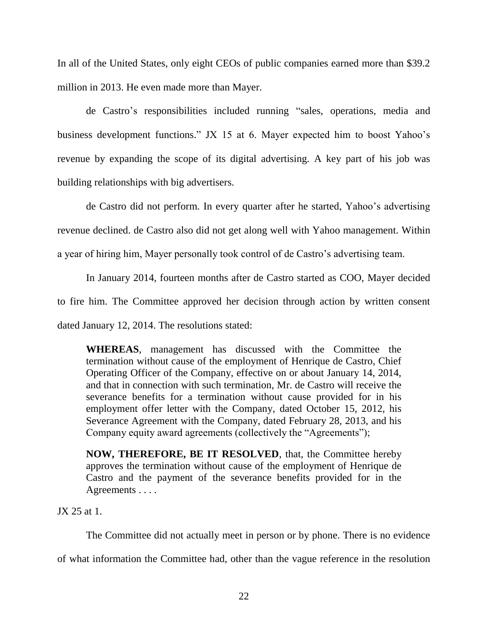In all of the United States, only eight CEOs of public companies earned more than \$39.2 million in 2013. He even made more than Mayer.

de Castro's responsibilities included running "sales, operations, media and business development functions." JX 15 at 6. Mayer expected him to boost Yahoo's revenue by expanding the scope of its digital advertising. A key part of his job was building relationships with big advertisers.

de Castro did not perform. In every quarter after he started, Yahoo's advertising revenue declined. de Castro also did not get along well with Yahoo management. Within a year of hiring him, Mayer personally took control of de Castro's advertising team.

In January 2014, fourteen months after de Castro started as COO, Mayer decided to fire him. The Committee approved her decision through action by written consent dated January 12, 2014. The resolutions stated:

**WHEREAS**, management has discussed with the Committee the termination without cause of the employment of Henrique de Castro, Chief Operating Officer of the Company, effective on or about January 14, 2014, and that in connection with such termination, Mr. de Castro will receive the severance benefits for a termination without cause provided for in his employment offer letter with the Company, dated October 15, 2012, his Severance Agreement with the Company, dated February 28, 2013, and his Company equity award agreements (collectively the "Agreements");

**NOW, THEREFORE, BE IT RESOLVED**, that, the Committee hereby approves the termination without cause of the employment of Henrique de Castro and the payment of the severance benefits provided for in the Agreements . . . .

JX 25 at 1.

The Committee did not actually meet in person or by phone. There is no evidence of what information the Committee had, other than the vague reference in the resolution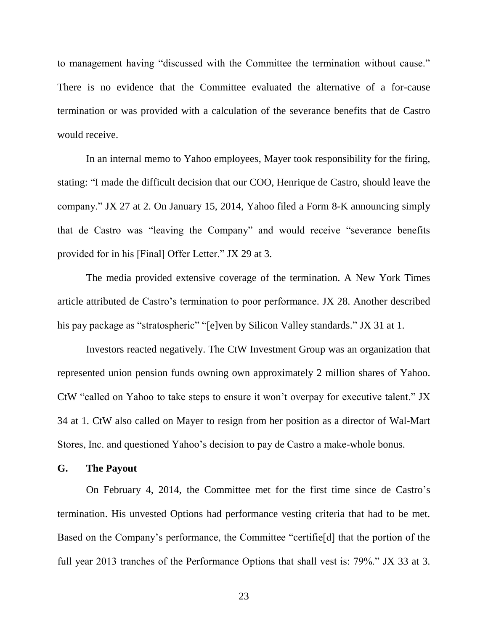to management having "discussed with the Committee the termination without cause." There is no evidence that the Committee evaluated the alternative of a for-cause termination or was provided with a calculation of the severance benefits that de Castro would receive.

In an internal memo to Yahoo employees, Mayer took responsibility for the firing, stating: "I made the difficult decision that our COO, Henrique de Castro, should leave the company." JX 27 at 2. On January 15, 2014, Yahoo filed a Form 8-K announcing simply that de Castro was "leaving the Company" and would receive "severance benefits provided for in his [Final] Offer Letter." JX 29 at 3.

The media provided extensive coverage of the termination. A New York Times article attributed de Castro's termination to poor performance. JX 28. Another described his pay package as "stratospheric" "[e]ven by Silicon Valley standards." JX 31 at 1.

Investors reacted negatively. The CtW Investment Group was an organization that represented union pension funds owning own approximately 2 million shares of Yahoo. CtW "called on Yahoo to take steps to ensure it won't overpay for executive talent." JX 34 at 1. CtW also called on Mayer to resign from her position as a director of Wal-Mart Stores, Inc. and questioned Yahoo's decision to pay de Castro a make-whole bonus.

### **G. The Payout**

On February 4, 2014, the Committee met for the first time since de Castro's termination. His unvested Options had performance vesting criteria that had to be met. Based on the Company's performance, the Committee "certifield] that the portion of the full year 2013 tranches of the Performance Options that shall vest is: 79%." JX 33 at 3.

23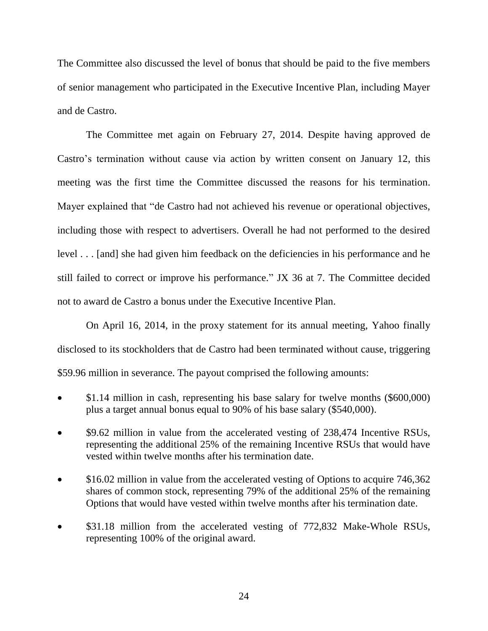The Committee also discussed the level of bonus that should be paid to the five members of senior management who participated in the Executive Incentive Plan, including Mayer and de Castro.

The Committee met again on February 27, 2014. Despite having approved de Castro's termination without cause via action by written consent on January 12, this meeting was the first time the Committee discussed the reasons for his termination. Mayer explained that "de Castro had not achieved his revenue or operational objectives, including those with respect to advertisers. Overall he had not performed to the desired level . . . [and] she had given him feedback on the deficiencies in his performance and he still failed to correct or improve his performance." JX 36 at 7. The Committee decided not to award de Castro a bonus under the Executive Incentive Plan.

On April 16, 2014, in the proxy statement for its annual meeting, Yahoo finally disclosed to its stockholders that de Castro had been terminated without cause, triggering \$59.96 million in severance. The payout comprised the following amounts:

- \$1.14 million in cash, representing his base salary for twelve months (\$600,000) plus a target annual bonus equal to 90% of his base salary (\$540,000).
- \$9.62 million in value from the accelerated vesting of 238,474 Incentive RSUs, representing the additional 25% of the remaining Incentive RSUs that would have vested within twelve months after his termination date.
- \$16.02 million in value from the accelerated vesting of Options to acquire 746,362 shares of common stock, representing 79% of the additional 25% of the remaining Options that would have vested within twelve months after his termination date.
- \$31.18 million from the accelerated vesting of 772,832 Make-Whole RSUs, representing 100% of the original award.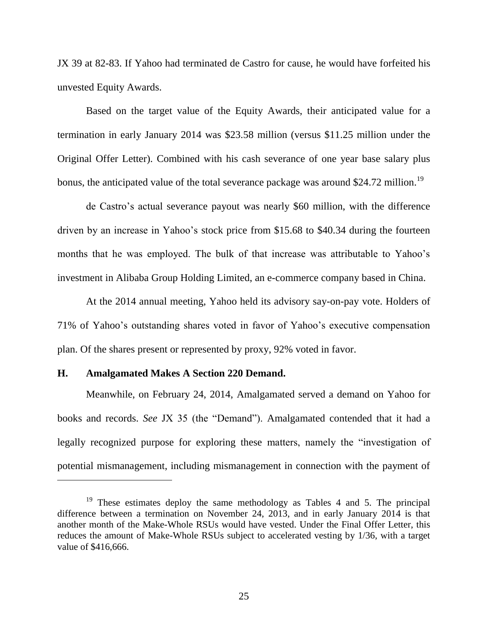JX 39 at 82-83. If Yahoo had terminated de Castro for cause, he would have forfeited his unvested Equity Awards.

Based on the target value of the Equity Awards, their anticipated value for a termination in early January 2014 was \$23.58 million (versus \$11.25 million under the Original Offer Letter). Combined with his cash severance of one year base salary plus bonus, the anticipated value of the total severance package was around \$24.72 million.<sup>19</sup>

de Castro's actual severance payout was nearly \$60 million, with the difference driven by an increase in Yahoo's stock price from \$15.68 to \$40.34 during the fourteen months that he was employed. The bulk of that increase was attributable to Yahoo's investment in Alibaba Group Holding Limited, an e-commerce company based in China.

At the 2014 annual meeting, Yahoo held its advisory say-on-pay vote. Holders of 71% of Yahoo's outstanding shares voted in favor of Yahoo's executive compensation plan. Of the shares present or represented by proxy, 92% voted in favor.

#### **H. Amalgamated Makes A Section 220 Demand.**

 $\overline{a}$ 

Meanwhile, on February 24, 2014, Amalgamated served a demand on Yahoo for books and records. *See JX 35* (the "Demand"). Amalgamated contended that it had a legally recognized purpose for exploring these matters, namely the "investigation of potential mismanagement, including mismanagement in connection with the payment of

<sup>&</sup>lt;sup>19</sup> These estimates deploy the same methodology as Tables 4 and 5. The principal difference between a termination on November 24, 2013, and in early January 2014 is that another month of the Make-Whole RSUs would have vested. Under the Final Offer Letter, this reduces the amount of Make-Whole RSUs subject to accelerated vesting by 1/36, with a target value of \$416,666.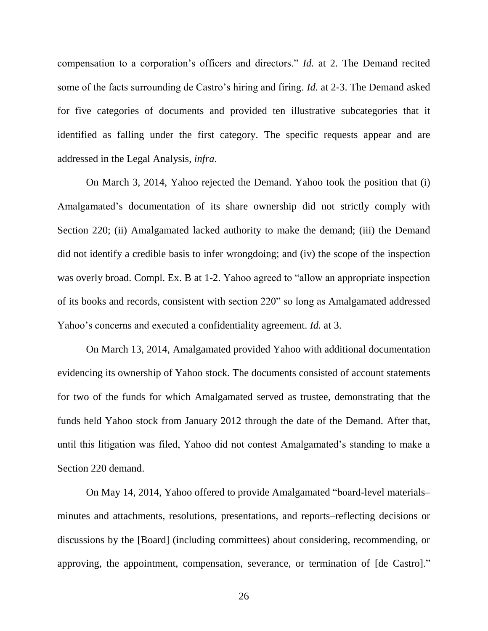compensation to a corporation's officers and directors." *Id.* at 2. The Demand recited some of the facts surrounding de Castro's hiring and firing. *Id.* at 2-3. The Demand asked for five categories of documents and provided ten illustrative subcategories that it identified as falling under the first category. The specific requests appear and are addressed in the Legal Analysis, *infra*.

On March 3, 2014, Yahoo rejected the Demand. Yahoo took the position that (i) Amalgamated's documentation of its share ownership did not strictly comply with Section 220; (ii) Amalgamated lacked authority to make the demand; (iii) the Demand did not identify a credible basis to infer wrongdoing; and (iv) the scope of the inspection was overly broad. Compl. Ex. B at 1-2. Yahoo agreed to "allow an appropriate inspection" of its books and records, consistent with section 220" so long as Amalgamated addressed Yahoo's concerns and executed a confidentiality agreement. *Id.* at 3.

On March 13, 2014, Amalgamated provided Yahoo with additional documentation evidencing its ownership of Yahoo stock. The documents consisted of account statements for two of the funds for which Amalgamated served as trustee, demonstrating that the funds held Yahoo stock from January 2012 through the date of the Demand. After that, until this litigation was filed, Yahoo did not contest Amalgamated's standing to make a Section 220 demand.

On May 14, 2014, Yahoo offered to provide Amalgamated "board-level materialsminutes and attachments, resolutions, presentations, and reports–reflecting decisions or discussions by the [Board] (including committees) about considering, recommending, or approving, the appointment, compensation, severance, or termination of [de Castro]."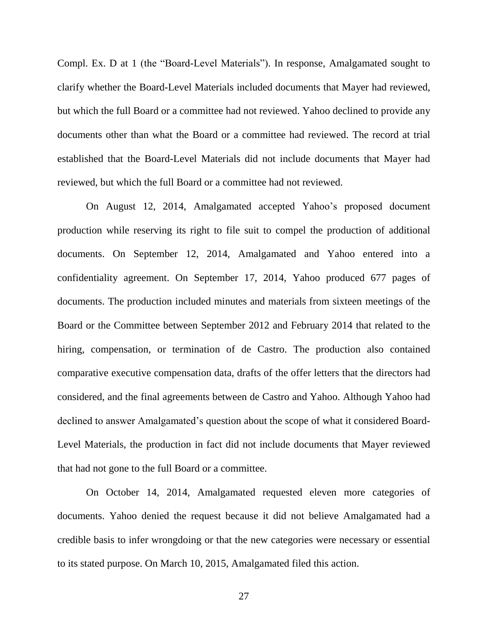Compl. Ex. D at 1 (the "Board-Level Materials"). In response, Amalgamated sought to clarify whether the Board-Level Materials included documents that Mayer had reviewed, but which the full Board or a committee had not reviewed. Yahoo declined to provide any documents other than what the Board or a committee had reviewed. The record at trial established that the Board-Level Materials did not include documents that Mayer had reviewed, but which the full Board or a committee had not reviewed.

On August 12, 2014, Amalgamated accepted Yahoo's proposed document production while reserving its right to file suit to compel the production of additional documents. On September 12, 2014, Amalgamated and Yahoo entered into a confidentiality agreement. On September 17, 2014, Yahoo produced 677 pages of documents. The production included minutes and materials from sixteen meetings of the Board or the Committee between September 2012 and February 2014 that related to the hiring, compensation, or termination of de Castro. The production also contained comparative executive compensation data, drafts of the offer letters that the directors had considered, and the final agreements between de Castro and Yahoo. Although Yahoo had declined to answer Amalgamated's question about the scope of what it considered Board-Level Materials, the production in fact did not include documents that Mayer reviewed that had not gone to the full Board or a committee.

On October 14, 2014, Amalgamated requested eleven more categories of documents. Yahoo denied the request because it did not believe Amalgamated had a credible basis to infer wrongdoing or that the new categories were necessary or essential to its stated purpose. On March 10, 2015, Amalgamated filed this action.

27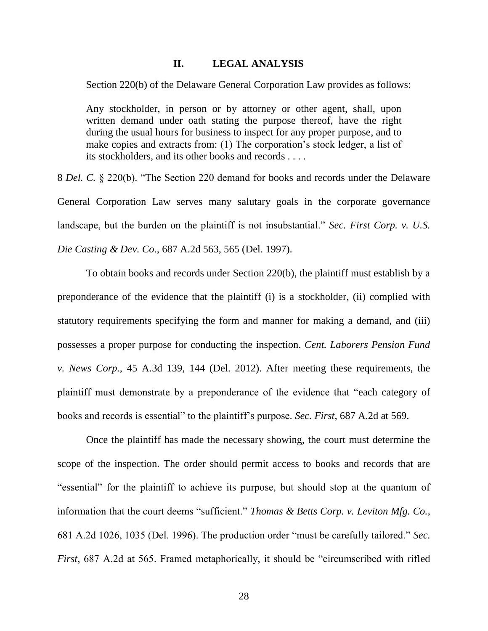## **II. LEGAL ANALYSIS**

Section 220(b) of the Delaware General Corporation Law provides as follows:

Any stockholder, in person or by attorney or other agent, shall, upon written demand under oath stating the purpose thereof, have the right during the usual hours for business to inspect for any proper purpose, and to make copies and extracts from: (1) The corporation's stock ledger, a list of its stockholders, and its other books and records . . . .

8 *Del. C.* § 220(b). "The Section 220 demand for books and records under the Delaware General Corporation Law serves many salutary goals in the corporate governance landscape, but the burden on the plaintiff is not insubstantial." *Sec. First Corp. v. U.S. Die Casting & Dev. Co.*, 687 A.2d 563, 565 (Del. 1997).

To obtain books and records under Section 220(b), the plaintiff must establish by a preponderance of the evidence that the plaintiff (i) is a stockholder, (ii) complied with statutory requirements specifying the form and manner for making a demand, and (iii) possesses a proper purpose for conducting the inspection. *Cent. Laborers Pension Fund v. News Corp.*, 45 A.3d 139, 144 (Del. 2012). After meeting these requirements, the plaintiff must demonstrate by a preponderance of the evidence that "each category of books and records is essential" to the plaintiff's purpose. *Sec. First*, 687 A.2d at 569.

Once the plaintiff has made the necessary showing, the court must determine the scope of the inspection. The order should permit access to books and records that are "essential" for the plaintiff to achieve its purpose, but should stop at the quantum of information that the court deems "sufficient." *Thomas & Betts Corp. v. Leviton Mfg. Co.*, 681 A.2d 1026, 1035 (Del. 1996). The production order "must be carefully tailored." Sec. *First*, 687 A.2d at 565. Framed metaphorically, it should be "circumscribed with rifled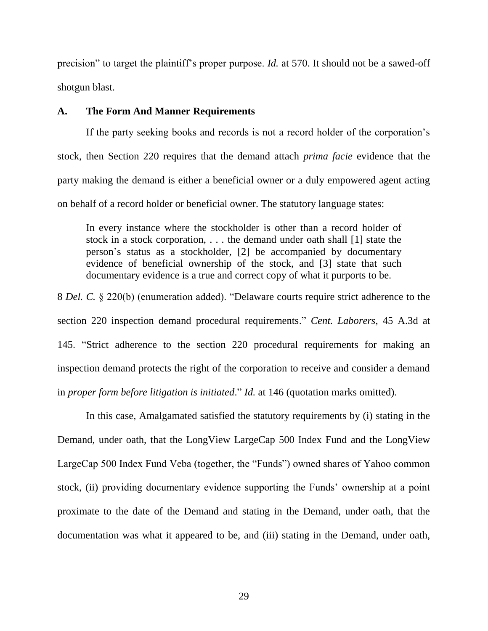precision" to target the plaintiff's proper purpose. *Id.* at 570. It should not be a sawed-off shotgun blast.

## **A. The Form And Manner Requirements**

If the party seeking books and records is not a record holder of the corporation's stock, then Section 220 requires that the demand attach *prima facie* evidence that the party making the demand is either a beneficial owner or a duly empowered agent acting on behalf of a record holder or beneficial owner. The statutory language states:

In every instance where the stockholder is other than a record holder of stock in a stock corporation, . . . the demand under oath shall [1] state the person's status as a stockholder, [2] be accompanied by documentary evidence of beneficial ownership of the stock, and [3] state that such documentary evidence is a true and correct copy of what it purports to be.

8 *Del. C.* § 220(b) (enumeration added). "Delaware courts require strict adherence to the section 220 inspection demand procedural requirements." *Cent. Laborers*, 45 A.3d at 145. "Strict adherence to the section 220 procedural requirements for making an inspection demand protects the right of the corporation to receive and consider a demand in *proper form before litigation is initiated.*" *Id.* at 146 (quotation marks omitted).

In this case, Amalgamated satisfied the statutory requirements by (i) stating in the Demand, under oath, that the LongView LargeCap 500 Index Fund and the LongView LargeCap 500 Index Fund Veba (together, the "Funds") owned shares of Yahoo common stock, (ii) providing documentary evidence supporting the Funds' ownership at a point proximate to the date of the Demand and stating in the Demand, under oath, that the documentation was what it appeared to be, and (iii) stating in the Demand, under oath,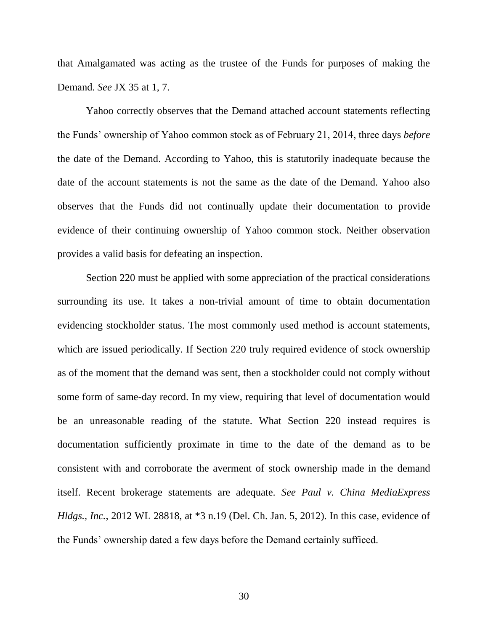that Amalgamated was acting as the trustee of the Funds for purposes of making the Demand. *See* JX 35 at 1, 7.

Yahoo correctly observes that the Demand attached account statements reflecting the Funds' ownership of Yahoo common stock as of February 21, 2014, three days *before* the date of the Demand. According to Yahoo, this is statutorily inadequate because the date of the account statements is not the same as the date of the Demand. Yahoo also observes that the Funds did not continually update their documentation to provide evidence of their continuing ownership of Yahoo common stock. Neither observation provides a valid basis for defeating an inspection.

Section 220 must be applied with some appreciation of the practical considerations surrounding its use. It takes a non-trivial amount of time to obtain documentation evidencing stockholder status. The most commonly used method is account statements, which are issued periodically. If Section 220 truly required evidence of stock ownership as of the moment that the demand was sent, then a stockholder could not comply without some form of same-day record. In my view, requiring that level of documentation would be an unreasonable reading of the statute. What Section 220 instead requires is documentation sufficiently proximate in time to the date of the demand as to be consistent with and corroborate the averment of stock ownership made in the demand itself. Recent brokerage statements are adequate. *See Paul v. China MediaExpress Hldgs., Inc.*, 2012 WL 28818, at \*3 n.19 (Del. Ch. Jan. 5, 2012). In this case, evidence of the Funds' ownership dated a few days before the Demand certainly sufficed.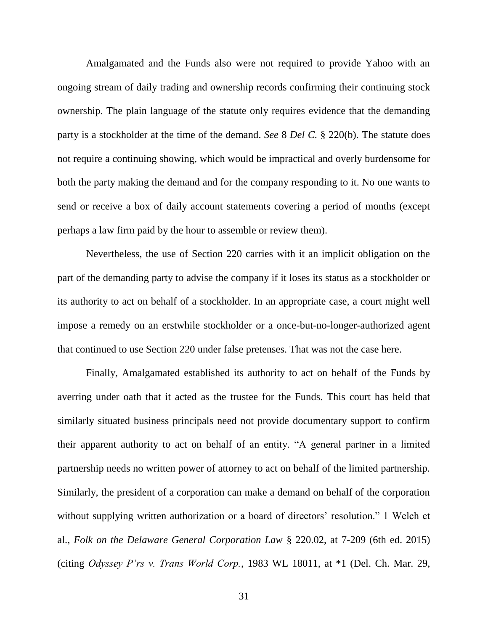Amalgamated and the Funds also were not required to provide Yahoo with an ongoing stream of daily trading and ownership records confirming their continuing stock ownership. The plain language of the statute only requires evidence that the demanding party is a stockholder at the time of the demand. *See* 8 *Del C.* § 220(b). The statute does not require a continuing showing, which would be impractical and overly burdensome for both the party making the demand and for the company responding to it. No one wants to send or receive a box of daily account statements covering a period of months (except perhaps a law firm paid by the hour to assemble or review them).

Nevertheless, the use of Section 220 carries with it an implicit obligation on the part of the demanding party to advise the company if it loses its status as a stockholder or its authority to act on behalf of a stockholder. In an appropriate case, a court might well impose a remedy on an erstwhile stockholder or a once-but-no-longer-authorized agent that continued to use Section 220 under false pretenses. That was not the case here.

Finally, Amalgamated established its authority to act on behalf of the Funds by averring under oath that it acted as the trustee for the Funds. This court has held that similarly situated business principals need not provide documentary support to confirm their apparent authority to act on behalf of an entity. "A general partner in a limited partnership needs no written power of attorney to act on behalf of the limited partnership. Similarly, the president of a corporation can make a demand on behalf of the corporation without supplying written authorization or a board of directors' resolution." 1 Welch et al., *Folk on the Delaware General Corporation Law* § 220.02, at 7-209 (6th ed. 2015) (citing *Odyssey P'rs v. Trans World Corp.*, 1983 WL 18011, at \*1 (Del. Ch. Mar. 29,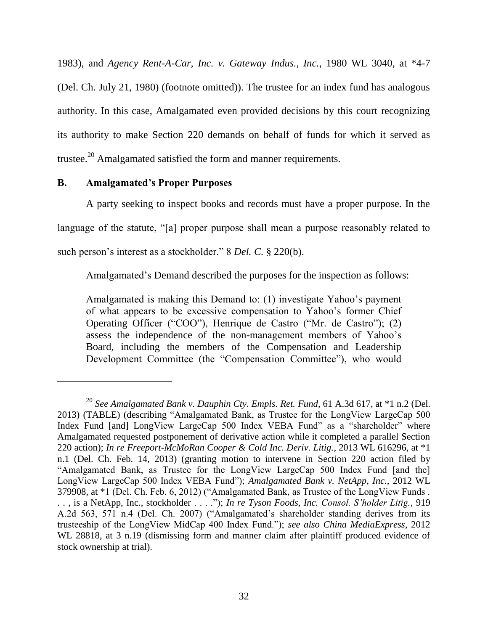1983), and *Agency Rent-A-Car, Inc. v. Gateway Indus., Inc.*, 1980 WL 3040, at \*4-7 (Del. Ch. July 21, 1980) (footnote omitted)). The trustee for an index fund has analogous authority. In this case, Amalgamated even provided decisions by this court recognizing its authority to make Section 220 demands on behalf of funds for which it served as trustee.<sup>20</sup> Amalgamated satisfied the form and manner requirements.

# **B. Amalgamated's Proper Purposes**

 $\overline{a}$ 

A party seeking to inspect books and records must have a proper purpose. In the

language of the statute, "[a] proper purpose shall mean a purpose reasonably related to

such person's interest as a stockholder." 8 *Del. C.* § 220(b).

Amalgamated's Demand described the purposes for the inspection as follows:

Amalgamated is making this Demand to: (1) investigate Yahoo's payment of what appears to be excessive compensation to Yahoo's former Chief Operating Officer ("COO"), Henrique de Castro ("Mr. de Castro"); (2) assess the independence of the non-management members of Yahoo's Board, including the members of the Compensation and Leadership Development Committee (the "Compensation Committee"), who would

<sup>20</sup> *See Amalgamated Bank v. Dauphin Cty. Empls. Ret. Fund*, 61 A.3d 617, at \*1 n.2 (Del. 2013) (TABLE) (describing "Amalgamated Bank, as Trustee for the LongView LargeCap 500 Index Fund [and] LongView LargeCap 500 Index VEBA Fund" as a "shareholder" where Amalgamated requested postponement of derivative action while it completed a parallel Section 220 action); *In re Freeport-McMoRan Cooper & Cold Inc. Deriv. Litig.*, 2013 WL 616296, at \*1 n.1 (Del. Ch. Feb. 14, 2013) (granting motion to intervene in Section 220 action filed by "Amalgamated Bank, as Trustee for the LongView LargeCap 500 Index Fund [and the] LongView LargeCap 500 Index VEBA Fund"); *Amalgamated Bank v. NetApp, Inc.*, 2012 WL 379908, at \*1 (Del. Ch. Feb. 6, 2012) ("Amalgamated Bank, as Trustee of the LongView Funds. .., is a NetApp, Inc., stockholder ...."); *In re Tyson Foods, Inc. Consol. S'holder Litig.*, 919 A.2d 563, 571 n.4 (Del. Ch. 2007) ("Amalgamated's shareholder standing derives from its trusteeship of the LongView MidCap 400 Index Fund.‖); *see also China MediaExpress*, 2012 WL 28818, at 3 n.19 (dismissing form and manner claim after plaintiff produced evidence of stock ownership at trial).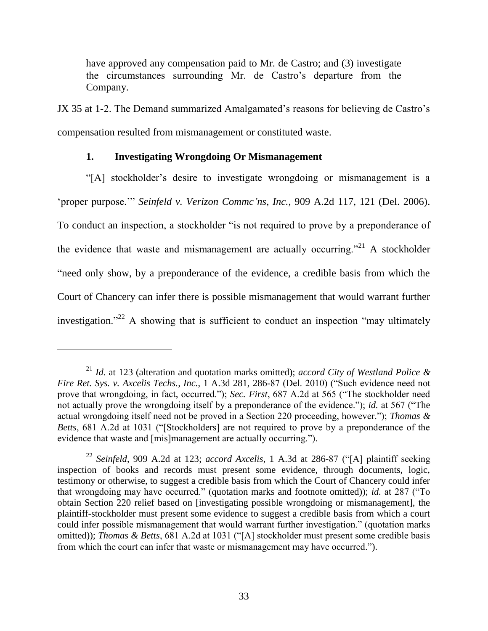have approved any compensation paid to Mr. de Castro; and (3) investigate the circumstances surrounding Mr. de Castro's departure from the Company.

JX 35 at 1-2. The Demand summarized Amalgamated's reasons for believing de Castro's compensation resulted from mismanagement or constituted waste.

# **1. Investigating Wrongdoing Or Mismanagement**

 $\overline{a}$ 

"[A] stockholder's desire to investigate wrongdoing or mismanagement is a ‗proper purpose.'‖ *Seinfeld v. Verizon Commc'ns, Inc.*, 909 A.2d 117, 121 (Del. 2006). To conduct an inspection, a stockholder "is not required to prove by a preponderance of the evidence that waste and mismanagement are actually occurring.<sup>221</sup> A stockholder "need only show, by a preponderance of the evidence, a credible basis from which the Court of Chancery can infer there is possible mismanagement that would warrant further investigation.<sup>22</sup> A showing that is sufficient to conduct an inspection "may ultimately"

<sup>21</sup> *Id.* at 123 (alteration and quotation marks omitted); *accord City of Westland Police & Fire Ret. Sys. v. Axcelis Techs., Inc.,* 1 A.3d 281, 286-87 (Del. 2010) ("Such evidence need not prove that wrongdoing, in fact, occurred."); *Sec. First*, 687 A.2d at 565 ("The stockholder need not actually prove the wrongdoing itself by a preponderance of the evidence."); *id.* at 567 ("The actual wrongdoing itself need not be proved in a Section 220 proceeding, however."); *Thomas & Betts*, 681 A.2d at 1031 ("[Stockholders] are not required to prove by a preponderance of the evidence that waste and [mis]management are actually occurring.").

<sup>&</sup>lt;sup>22</sup> Seinfeld, 909 A.2d at 123; *accord Axcelis*, 1 A.3d at 286-87 ("[A] plaintiff seeking inspection of books and records must present some evidence, through documents, logic, testimony or otherwise, to suggest a credible basis from which the Court of Chancery could infer that wrongdoing may have occurred." (quotation marks and footnote omitted)); *id.* at 287 ("To obtain Section 220 relief based on [investigating possible wrongdoing or mismanagement], the plaintiff-stockholder must present some evidence to suggest a credible basis from which a court could infer possible mismanagement that would warrant further investigation." (quotation marks omitted)); *Thomas & Betts*, 681 A.2d at 1031 ("[A] stockholder must present some credible basis from which the court can infer that waste or mismanagement may have occurred.").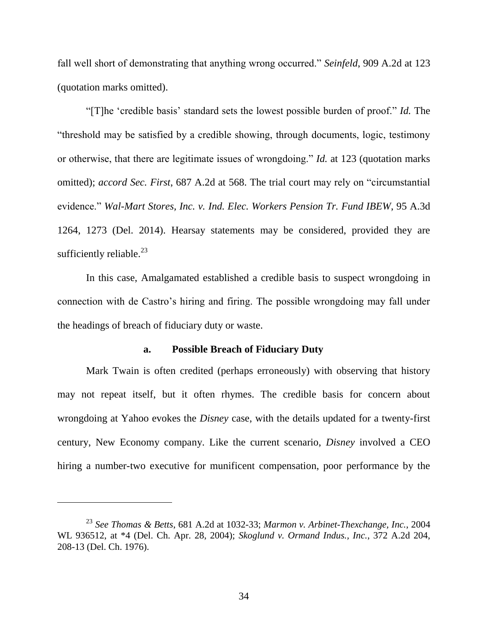fall well short of demonstrating that anything wrong occurred." *Seinfeld*, 909 A.2d at 123 (quotation marks omitted).

―[T]he ‗credible basis' standard sets the lowest possible burden of proof.‖ *Id.* The ―threshold may be satisfied by a credible showing, through documents, logic, testimony or otherwise, that there are legitimate issues of wrongdoing." *Id.* at 123 (quotation marks omitted); *accord Sec. First*, 687 A.2d at 568. The trial court may rely on "circumstantial evidence.‖ *Wal-Mart Stores, Inc. v. Ind. Elec. Workers Pension Tr. Fund IBEW*, 95 A.3d 1264, 1273 (Del. 2014). Hearsay statements may be considered, provided they are sufficiently reliable.<sup>23</sup>

In this case, Amalgamated established a credible basis to suspect wrongdoing in connection with de Castro's hiring and firing. The possible wrongdoing may fall under the headings of breach of fiduciary duty or waste.

### **a. Possible Breach of Fiduciary Duty**

Mark Twain is often credited (perhaps erroneously) with observing that history may not repeat itself, but it often rhymes. The credible basis for concern about wrongdoing at Yahoo evokes the *Disney* case, with the details updated for a twenty-first century, New Economy company. Like the current scenario, *Disney* involved a CEO hiring a number-two executive for munificent compensation, poor performance by the

<sup>23</sup> *See Thomas & Betts*, 681 A.2d at 1032-33; *Marmon v. Arbinet-Thexchange, Inc.*, 2004 WL 936512, at \*4 (Del. Ch. Apr. 28, 2004); *Skoglund v. Ormand Indus., Inc.*, 372 A.2d 204, 208-13 (Del. Ch. 1976).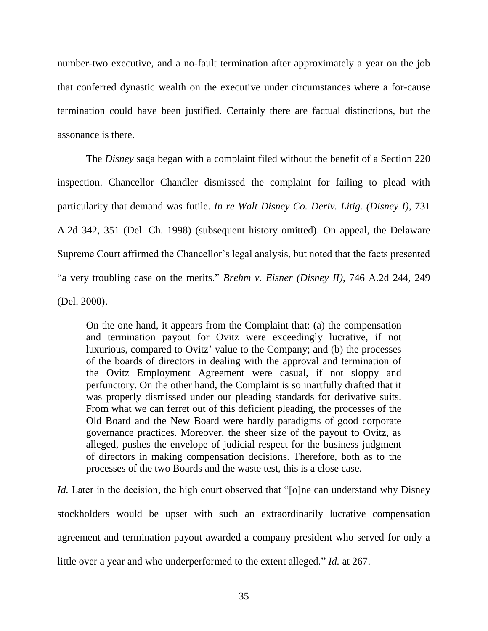number-two executive, and a no-fault termination after approximately a year on the job that conferred dynastic wealth on the executive under circumstances where a for-cause termination could have been justified. Certainly there are factual distinctions, but the assonance is there.

The *Disney* saga began with a complaint filed without the benefit of a Section 220 inspection. Chancellor Chandler dismissed the complaint for failing to plead with particularity that demand was futile. *In re Walt Disney Co. Deriv. Litig. (Disney I)*, 731 A.2d 342, 351 (Del. Ch. 1998) (subsequent history omitted). On appeal, the Delaware Supreme Court affirmed the Chancellor's legal analysis, but noted that the facts presented ―a very troubling case on the merits.‖ *Brehm v. Eisner (Disney II)*, 746 A.2d 244, 249 (Del. 2000).

On the one hand, it appears from the Complaint that: (a) the compensation and termination payout for Ovitz were exceedingly lucrative, if not luxurious, compared to Ovitz' value to the Company; and (b) the processes of the boards of directors in dealing with the approval and termination of the Ovitz Employment Agreement were casual, if not sloppy and perfunctory. On the other hand, the Complaint is so inartfully drafted that it was properly dismissed under our pleading standards for derivative suits. From what we can ferret out of this deficient pleading, the processes of the Old Board and the New Board were hardly paradigms of good corporate governance practices. Moreover, the sheer size of the payout to Ovitz, as alleged, pushes the envelope of judicial respect for the business judgment of directors in making compensation decisions. Therefore, both as to the processes of the two Boards and the waste test, this is a close case.

*Id.* Later in the decision, the high court observed that "[o]ne can understand why Disney stockholders would be upset with such an extraordinarily lucrative compensation agreement and termination payout awarded a company president who served for only a little over a year and who underperformed to the extent alleged." *Id.* at 267.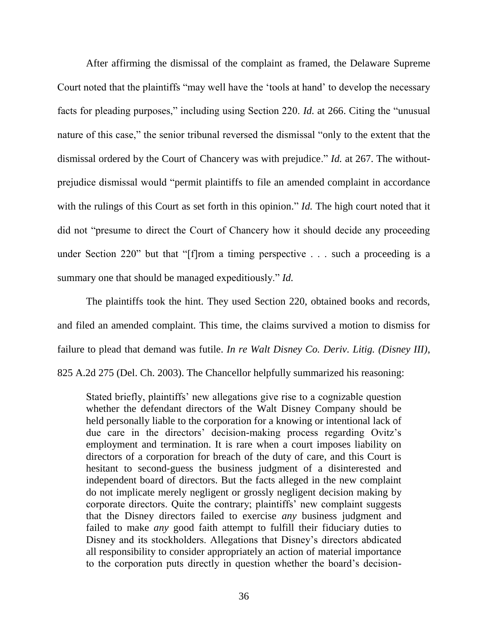After affirming the dismissal of the complaint as framed, the Delaware Supreme Court noted that the plaintiffs "may well have the 'tools at hand' to develop the necessary facts for pleading purposes," including using Section 220. *Id.* at 266. Citing the "unusual nature of this case," the senior tribunal reversed the dismissal "only to the extent that the dismissal ordered by the Court of Chancery was with prejudice." *Id.* at 267. The withoutprejudice dismissal would "permit plaintiffs to file an amended complaint in accordance with the rulings of this Court as set forth in this opinion." *Id.* The high court noted that it did not "presume to direct the Court of Chancery how it should decide any proceeding under Section 220" but that "[f]rom a timing perspective  $\ldots$  such a proceeding is a summary one that should be managed expeditiously." *Id.* 

The plaintiffs took the hint. They used Section 220, obtained books and records, and filed an amended complaint. This time, the claims survived a motion to dismiss for failure to plead that demand was futile. *In re Walt Disney Co. Deriv. Litig. (Disney III)*, 825 A.2d 275 (Del. Ch. 2003). The Chancellor helpfully summarized his reasoning:

Stated briefly, plaintiffs' new allegations give rise to a cognizable question whether the defendant directors of the Walt Disney Company should be held personally liable to the corporation for a knowing or intentional lack of due care in the directors' decision-making process regarding Ovitz's employment and termination. It is rare when a court imposes liability on directors of a corporation for breach of the duty of care, and this Court is hesitant to second-guess the business judgment of a disinterested and independent board of directors. But the facts alleged in the new complaint do not implicate merely negligent or grossly negligent decision making by corporate directors. Quite the contrary; plaintiffs' new complaint suggests that the Disney directors failed to exercise *any* business judgment and failed to make *any* good faith attempt to fulfill their fiduciary duties to Disney and its stockholders. Allegations that Disney's directors abdicated all responsibility to consider appropriately an action of material importance to the corporation puts directly in question whether the board's decision-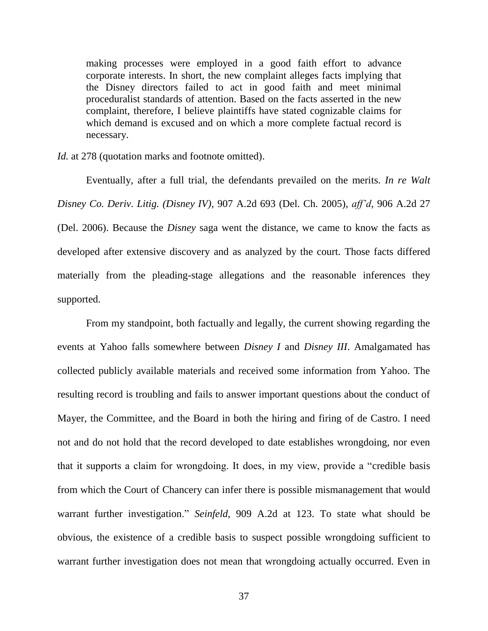making processes were employed in a good faith effort to advance corporate interests. In short, the new complaint alleges facts implying that the Disney directors failed to act in good faith and meet minimal proceduralist standards of attention. Based on the facts asserted in the new complaint, therefore, I believe plaintiffs have stated cognizable claims for which demand is excused and on which a more complete factual record is necessary.

*Id.* at 278 (quotation marks and footnote omitted).

Eventually, after a full trial, the defendants prevailed on the merits. *In re Walt Disney Co. Deriv. Litig. (Disney IV)*, 907 A.2d 693 (Del. Ch. 2005), *aff'd*, 906 A.2d 27 (Del. 2006). Because the *Disney* saga went the distance, we came to know the facts as developed after extensive discovery and as analyzed by the court. Those facts differed materially from the pleading-stage allegations and the reasonable inferences they supported.

From my standpoint, both factually and legally, the current showing regarding the events at Yahoo falls somewhere between *Disney I* and *Disney III*. Amalgamated has collected publicly available materials and received some information from Yahoo. The resulting record is troubling and fails to answer important questions about the conduct of Mayer, the Committee, and the Board in both the hiring and firing of de Castro. I need not and do not hold that the record developed to date establishes wrongdoing, nor even that it supports a claim for wrongdoing. It does, in my view, provide a "credible basis" from which the Court of Chancery can infer there is possible mismanagement that would warrant further investigation." *Seinfeld*, 909 A.2d at 123. To state what should be obvious, the existence of a credible basis to suspect possible wrongdoing sufficient to warrant further investigation does not mean that wrongdoing actually occurred. Even in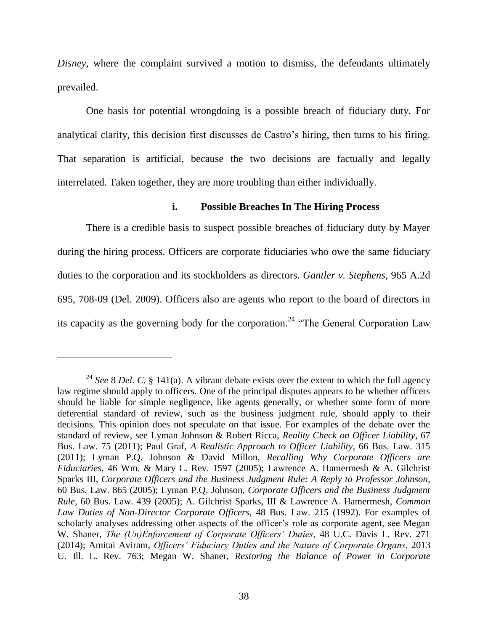*Disney*, where the complaint survived a motion to dismiss, the defendants ultimately prevailed.

One basis for potential wrongdoing is a possible breach of fiduciary duty. For analytical clarity, this decision first discusses de Castro's hiring, then turns to his firing. That separation is artificial, because the two decisions are factually and legally interrelated. Taken together, they are more troubling than either individually.

# **i. Possible Breaches In The Hiring Process**

There is a credible basis to suspect possible breaches of fiduciary duty by Mayer during the hiring process. Officers are corporate fiduciaries who owe the same fiduciary duties to the corporation and its stockholders as directors. *Gantler v. Stephens*, 965 A.2d 695, 708-09 (Del. 2009). Officers also are agents who report to the board of directors in its capacity as the governing body for the corporation.<sup>24</sup> "The General Corporation Law

<sup>24</sup> *See* 8 *Del. C.* § 141(a). A vibrant debate exists over the extent to which the full agency law regime should apply to officers. One of the principal disputes appears to be whether officers should be liable for simple negligence, like agents generally, or whether some form of more deferential standard of review, such as the business judgment rule, should apply to their decisions. This opinion does not speculate on that issue. For examples of the debate over the standard of review, see Lyman Johnson & Robert Ricca, *Reality Check on Officer Liability*, 67 Bus. Law. 75 (2011); Paul Graf, *A Realistic Approach to Officer Liability*, 66 Bus. Law. 315 (2011); Lyman P.Q. Johnson & David Millon, *Recalling Why Corporate Officers are Fiduciaries*, 46 Wm. & Mary L. Rev. 1597 (2005); Lawrence A. Hamermesh & A. Gilchrist Sparks III, *Corporate Officers and the Business Judgment Rule: A Reply to Professor Johnson*, 60 Bus. Law. 865 (2005); Lyman P.Q. Johnson, *Corporate Officers and the Business Judgment Rule*, 60 Bus. Law. 439 (2005); A. Gilchrist Sparks, III & Lawrence A. Hamermesh, *Common Law Duties of Non-Director Corporate Officers*, 48 Bus. Law. 215 (1992). For examples of scholarly analyses addressing other aspects of the officer's role as corporate agent, see Megan W. Shaner, *The (Un)Enforcement of Corporate Officers' Duties*, 48 U.C. Davis L. Rev. 271 (2014); Amitai Aviram, *Officers' Fiduciary Duties and the Nature of Corporate Organs*, 2013 U. Ill. L. Rev. 763; Megan W. Shaner, *Restoring the Balance of Power in Corporate*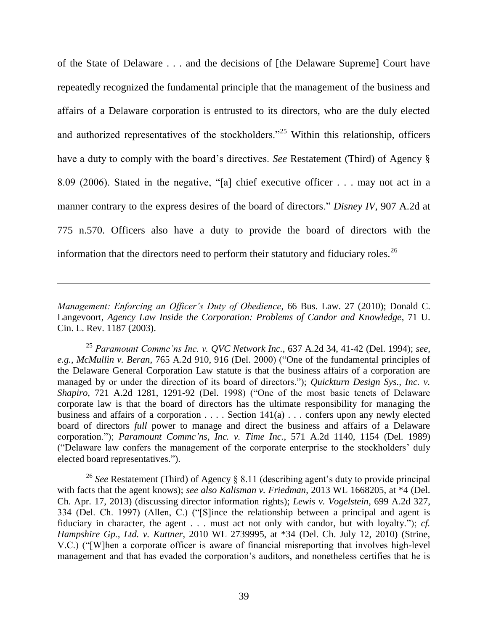of the State of Delaware . . . and the decisions of [the Delaware Supreme] Court have repeatedly recognized the fundamental principle that the management of the business and affairs of a Delaware corporation is entrusted to its directors, who are the duly elected and authorized representatives of the stockholders.<sup> $25$ </sup> Within this relationship, officers have a duty to comply with the board's directives. *See* Restatement (Third) of Agency § 8.09 (2006). Stated in the negative, "[a] chief executive officer  $\dots$  may not act in a manner contrary to the express desires of the board of directors." *Disney IV*, 907 A.2d at 775 n.570. Officers also have a duty to provide the board of directors with the information that the directors need to perform their statutory and fiduciary roles.<sup>26</sup>

*Management: Enforcing an Officer's Duty of Obedience*, 66 Bus. Law. 27 (2010); Donald C. Langevoort, *Agency Law Inside the Corporation: Problems of Candor and Knowledge*, 71 U. Cin. L. Rev. 1187 (2003).

 $\overline{a}$ 

<sup>25</sup> *Paramount Commc'ns Inc. v. QVC Network Inc.*, 637 A.2d 34, 41-42 (Del. 1994); *see,*  e.g., *McMullin v. Beran*, 765 A.2d 910, 916 (Del. 2000) ("One of the fundamental principles of the Delaware General Corporation Law statute is that the business affairs of a corporation are managed by or under the direction of its board of directors."); *Quickturn Design Sys., Inc. v. Shapiro*, 721 A.2d 1281, 1291-92 (Del. 1998) ("One of the most basic tenets of Delaware corporate law is that the board of directors has the ultimate responsibility for managing the business and affairs of a corporation . . . . Section 141(a) . . . confers upon any newly elected board of directors *full* power to manage and direct the business and affairs of a Delaware corporation.‖); *Paramount Commc'ns, Inc. v. Time Inc.*, 571 A.2d 1140, 1154 (Del. 1989) (―Delaware law confers the management of the corporate enterprise to the stockholders' duly elected board representatives.").

<sup>26</sup> *See* Restatement (Third) of Agency § 8.11 (describing agent's duty to provide principal with facts that the agent knows); *see also Kalisman v. Friedman*, 2013 WL 1668205, at \*4 (Del. Ch. Apr. 17, 2013) (discussing director information rights); *Lewis v. Vogelstein*, 699 A.2d 327, 334 (Del. Ch. 1997) (Allen, C.) ("[S]ince the relationship between a principal and agent is fiduciary in character, the agent  $\ldots$  must act not only with candor, but with loyalty."); *cf. Hampshire Gp., Ltd. v. Kuttner*, 2010 WL 2739995, at \*34 (Del. Ch. July 12, 2010) (Strine, V.C.) ("[W]hen a corporate officer is aware of financial misreporting that involves high-level management and that has evaded the corporation's auditors, and nonetheless certifies that he is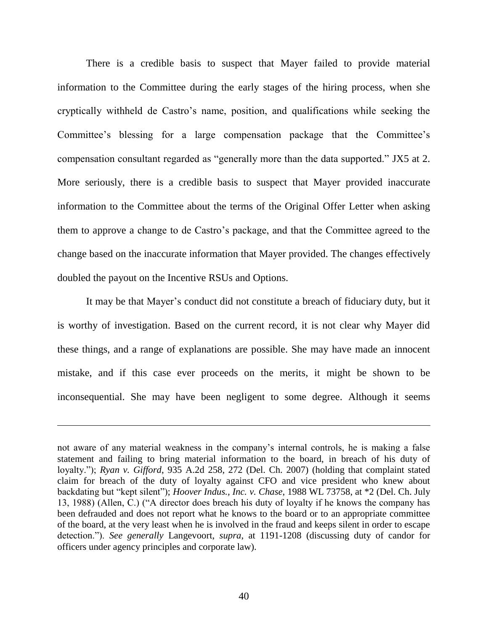There is a credible basis to suspect that Mayer failed to provide material information to the Committee during the early stages of the hiring process, when she cryptically withheld de Castro's name, position, and qualifications while seeking the Committee's blessing for a large compensation package that the Committee's compensation consultant regarded as "generally more than the data supported." JX5 at 2. More seriously, there is a credible basis to suspect that Mayer provided inaccurate information to the Committee about the terms of the Original Offer Letter when asking them to approve a change to de Castro's package, and that the Committee agreed to the change based on the inaccurate information that Mayer provided. The changes effectively doubled the payout on the Incentive RSUs and Options.

It may be that Mayer's conduct did not constitute a breach of fiduciary duty, but it is worthy of investigation. Based on the current record, it is not clear why Mayer did these things, and a range of explanations are possible. She may have made an innocent mistake, and if this case ever proceeds on the merits, it might be shown to be inconsequential. She may have been negligent to some degree. Although it seems

 $\overline{a}$ 

not aware of any material weakness in the company's internal controls, he is making a false statement and failing to bring material information to the board, in breach of his duty of loyalty.‖); *Ryan v. Gifford*, 935 A.2d 258, 272 (Del. Ch. 2007) (holding that complaint stated claim for breach of the duty of loyalty against CFO and vice president who knew about backdating but "kept silent"); *Hoover Indus., Inc. v. Chase*, 1988 WL 73758, at \*2 (Del. Ch. July 13, 1988) (Allen, C.) ("A director does breach his duty of loyalty if he knows the company has been defrauded and does not report what he knows to the board or to an appropriate committee of the board, at the very least when he is involved in the fraud and keeps silent in order to escape detection."). *See generally* Langevoort, *supra*, at 1191-1208 (discussing duty of candor for officers under agency principles and corporate law).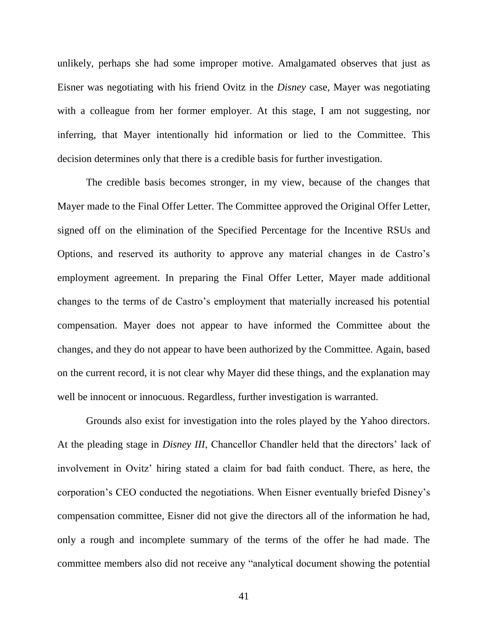unlikely, perhaps she had some improper motive. Amalgamated observes that just as Eisner was negotiating with his friend Ovitz in the *Disney* case, Mayer was negotiating with a colleague from her former employer. At this stage, I am not suggesting, nor inferring, that Mayer intentionally hid information or lied to the Committee. This decision determines only that there is a credible basis for further investigation.

The credible basis becomes stronger, in my view, because of the changes that Mayer made to the Final Offer Letter. The Committee approved the Original Offer Letter, signed off on the elimination of the Specified Percentage for the Incentive RSUs and Options, and reserved its authority to approve any material changes in de Castro's employment agreement. In preparing the Final Offer Letter, Mayer made additional changes to the terms of de Castro's employment that materially increased his potential compensation. Mayer does not appear to have informed the Committee about the changes, and they do not appear to have been authorized by the Committee. Again, based on the current record, it is not clear why Mayer did these things, and the explanation may well be innocent or innocuous. Regardless, further investigation is warranted.

Grounds also exist for investigation into the roles played by the Yahoo directors. At the pleading stage in *Disney III*, Chancellor Chandler held that the directors' lack of involvement in Ovitz' hiring stated a claim for bad faith conduct. There, as here, the corporation's CEO conducted the negotiations. When Eisner eventually briefed Disney's compensation committee, Eisner did not give the directors all of the information he had, only a rough and incomplete summary of the terms of the offer he had made. The committee members also did not receive any "analytical document showing the potential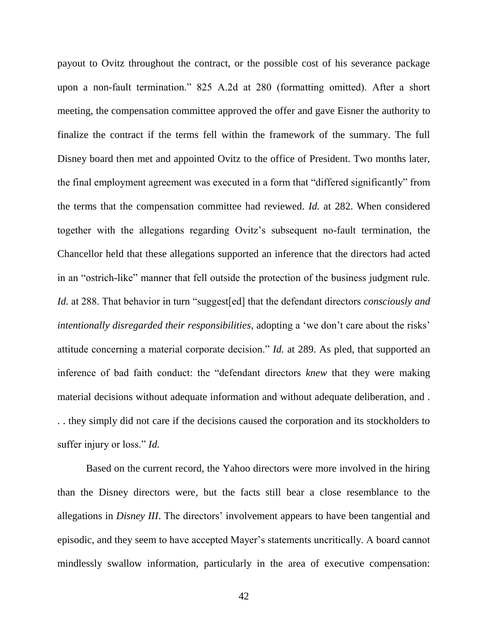payout to Ovitz throughout the contract, or the possible cost of his severance package upon a non-fault termination." 825 A.2d at 280 (formatting omitted). After a short meeting, the compensation committee approved the offer and gave Eisner the authority to finalize the contract if the terms fell within the framework of the summary. The full Disney board then met and appointed Ovitz to the office of President. Two months later, the final employment agreement was executed in a form that "differed significantly" from the terms that the compensation committee had reviewed. *Id.* at 282. When considered together with the allegations regarding Ovitz's subsequent no-fault termination, the Chancellor held that these allegations supported an inference that the directors had acted in an "ostrich-like" manner that fell outside the protection of the business judgment rule. *Id.* at 288. That behavior in turn "suggest[ed] that the defendant directors *consciously and intentionally disregarded their responsibilities, adopting a 'we don't care about the risks'* attitude concerning a material corporate decision." *Id.* at 289. As pled, that supported an inference of bad faith conduct: the "defendant directors *knew* that they were making material decisions without adequate information and without adequate deliberation, and . . . they simply did not care if the decisions caused the corporation and its stockholders to suffer injury or loss." *Id.* 

Based on the current record, the Yahoo directors were more involved in the hiring than the Disney directors were, but the facts still bear a close resemblance to the allegations in *Disney III*. The directors' involvement appears to have been tangential and episodic, and they seem to have accepted Mayer's statements uncritically. A board cannot mindlessly swallow information, particularly in the area of executive compensation: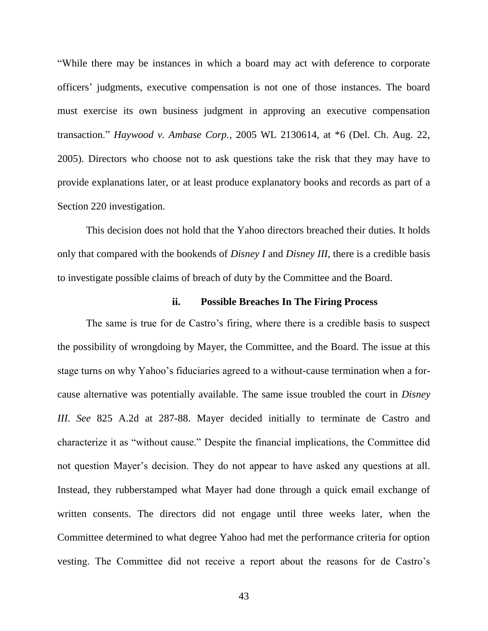―While there may be instances in which a board may act with deference to corporate officers' judgments, executive compensation is not one of those instances. The board must exercise its own business judgment in approving an executive compensation transaction.‖ *Haywood v. Ambase Corp.*, 2005 WL 2130614, at \*6 (Del. Ch. Aug. 22, 2005). Directors who choose not to ask questions take the risk that they may have to provide explanations later, or at least produce explanatory books and records as part of a Section 220 investigation.

This decision does not hold that the Yahoo directors breached their duties. It holds only that compared with the bookends of *Disney I* and *Disney III*, there is a credible basis to investigate possible claims of breach of duty by the Committee and the Board.

#### **ii. Possible Breaches In The Firing Process**

The same is true for de Castro's firing, where there is a credible basis to suspect the possibility of wrongdoing by Mayer, the Committee, and the Board. The issue at this stage turns on why Yahoo's fiduciaries agreed to a without-cause termination when a forcause alternative was potentially available. The same issue troubled the court in *Disney III*. *See* 825 A.2d at 287-88. Mayer decided initially to terminate de Castro and characterize it as "without cause." Despite the financial implications, the Committee did not question Mayer's decision. They do not appear to have asked any questions at all. Instead, they rubberstamped what Mayer had done through a quick email exchange of written consents. The directors did not engage until three weeks later, when the Committee determined to what degree Yahoo had met the performance criteria for option vesting. The Committee did not receive a report about the reasons for de Castro's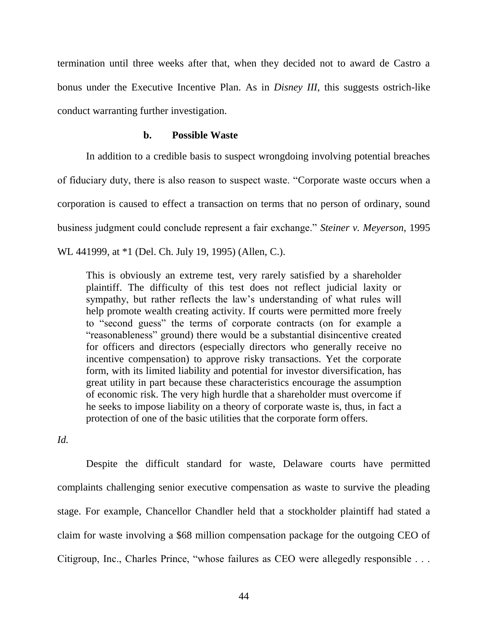termination until three weeks after that, when they decided not to award de Castro a bonus under the Executive Incentive Plan. As in *Disney III*, this suggests ostrich-like conduct warranting further investigation.

#### **b. Possible Waste**

In addition to a credible basis to suspect wrongdoing involving potential breaches of fiduciary duty, there is also reason to suspect waste. "Corporate waste occurs when a corporation is caused to effect a transaction on terms that no person of ordinary, sound business judgment could conclude represent a fair exchange.‖ *Steiner v. Meyerson*, 1995 WL 441999, at \*1 (Del. Ch. July 19, 1995) (Allen, C.).

This is obviously an extreme test, very rarely satisfied by a shareholder plaintiff. The difficulty of this test does not reflect judicial laxity or sympathy, but rather reflects the law's understanding of what rules will help promote wealth creating activity. If courts were permitted more freely to "second guess" the terms of corporate contracts (on for example a "reasonableness" ground) there would be a substantial disincentive created for officers and directors (especially directors who generally receive no incentive compensation) to approve risky transactions. Yet the corporate form, with its limited liability and potential for investor diversification, has great utility in part because these characteristics encourage the assumption of economic risk. The very high hurdle that a shareholder must overcome if he seeks to impose liability on a theory of corporate waste is, thus, in fact a protection of one of the basic utilities that the corporate form offers.

*Id.* 

Despite the difficult standard for waste, Delaware courts have permitted complaints challenging senior executive compensation as waste to survive the pleading stage. For example, Chancellor Chandler held that a stockholder plaintiff had stated a claim for waste involving a \$68 million compensation package for the outgoing CEO of Citigroup, Inc., Charles Prince, "whose failures as CEO were allegedly responsible . . .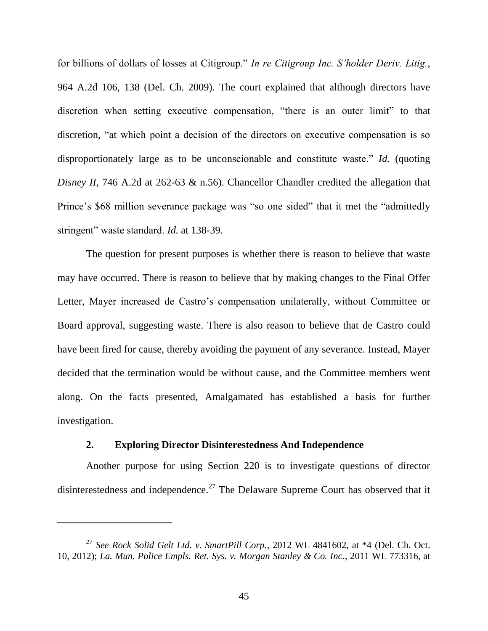for billions of dollars of losses at Citigroup." In re Citigroup Inc. S'holder Deriv. Litig., 964 A.2d 106, 138 (Del. Ch. 2009). The court explained that although directors have discretion when setting executive compensation, "there is an outer limit" to that discretion, "at which point a decision of the directors on executive compensation is so disproportionately large as to be unconscionable and constitute waste." *Id.* (quoting *Disney II*, 746 A.2d at 262-63 & n.56). Chancellor Chandler credited the allegation that Prince's \$68 million severance package was "so one sided" that it met the "admittedly stringent" waste standard. *Id.* at 138-39.

The question for present purposes is whether there is reason to believe that waste may have occurred. There is reason to believe that by making changes to the Final Offer Letter, Mayer increased de Castro's compensation unilaterally, without Committee or Board approval, suggesting waste. There is also reason to believe that de Castro could have been fired for cause, thereby avoiding the payment of any severance. Instead, Mayer decided that the termination would be without cause, and the Committee members went along. On the facts presented, Amalgamated has established a basis for further investigation.

# **2. Exploring Director Disinterestedness And Independence**

Another purpose for using Section 220 is to investigate questions of director disinterestedness and independence.<sup>27</sup> The Delaware Supreme Court has observed that it

<sup>27</sup> *See Rock Solid Gelt Ltd. v. SmartPill Corp.*, 2012 WL 4841602, at \*4 (Del. Ch. Oct. 10, 2012); *La. Mun. Police Empls. Ret. Sys. v. Morgan Stanley & Co. Inc.*, 2011 WL 773316, at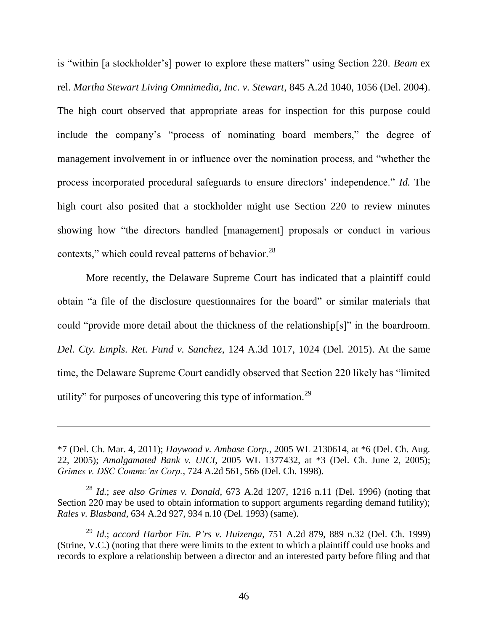is "within [a stockholder's] power to explore these matters" using Section 220. *Beam* ex rel. *Martha Stewart Living Omnimedia, Inc. v. Stewart*, 845 A.2d 1040, 1056 (Del. 2004). The high court observed that appropriate areas for inspection for this purpose could include the company's "process of nominating board members," the degree of management involvement in or influence over the nomination process, and "whether the process incorporated procedural safeguards to ensure directors' independence." *Id.* The high court also posited that a stockholder might use Section 220 to review minutes showing how "the directors handled [management] proposals or conduct in various contexts," which could reveal patterns of behavior. $^{28}$ 

More recently, the Delaware Supreme Court has indicated that a plaintiff could obtain "a file of the disclosure questionnaires for the board" or similar materials that could "provide more detail about the thickness of the relationship[s]" in the boardroom. *Del. Cty. Empls. Ret. Fund v. Sanchez*, 124 A.3d 1017, 1024 (Del. 2015). At the same time, the Delaware Supreme Court candidly observed that Section 220 likely has "limited utility" for purposes of uncovering this type of information. $^{29}$ 

 $\overline{a}$ 

<sup>\*7 (</sup>Del. Ch. Mar. 4, 2011); *Haywood v. Ambase Corp.*, 2005 WL 2130614, at \*6 (Del. Ch. Aug. 22, 2005); *Amalgamated Bank v. UICI*, 2005 WL 1377432, at \*3 (Del. Ch. June 2, 2005); *Grimes v. DSC Commc'ns Corp.*, 724 A.2d 561, 566 (Del. Ch. 1998).

<sup>28</sup> *Id.*; *see also Grimes v. Donald*, 673 A.2d 1207, 1216 n.11 (Del. 1996) (noting that Section 220 may be used to obtain information to support arguments regarding demand futility); *Rales v. Blasband*, 634 A.2d 927, 934 n.10 (Del. 1993) (same).

<sup>29</sup> *Id.*; *accord Harbor Fin. P'rs v. Huizenga*, 751 A.2d 879, 889 n.32 (Del. Ch. 1999) (Strine, V.C.) (noting that there were limits to the extent to which a plaintiff could use books and records to explore a relationship between a director and an interested party before filing and that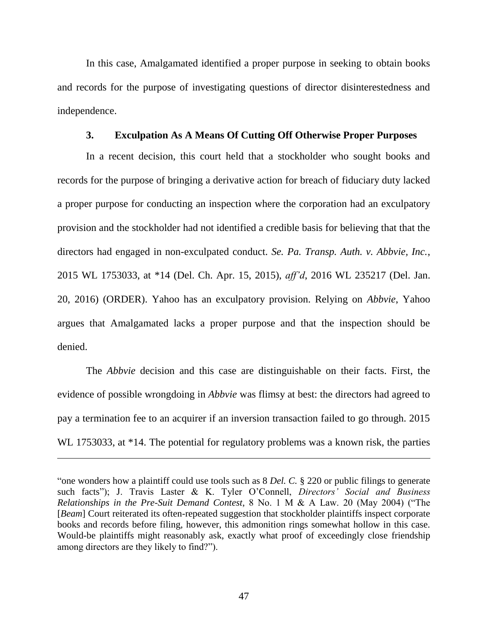In this case, Amalgamated identified a proper purpose in seeking to obtain books and records for the purpose of investigating questions of director disinterestedness and independence.

#### **3. Exculpation As A Means Of Cutting Off Otherwise Proper Purposes**

In a recent decision, this court held that a stockholder who sought books and records for the purpose of bringing a derivative action for breach of fiduciary duty lacked a proper purpose for conducting an inspection where the corporation had an exculpatory provision and the stockholder had not identified a credible basis for believing that that the directors had engaged in non-exculpated conduct. *Se. Pa. Transp. Auth. v. Abbvie, Inc.*, 2015 WL 1753033, at \*14 (Del. Ch. Apr. 15, 2015), *aff'd*, 2016 WL 235217 (Del. Jan. 20, 2016) (ORDER). Yahoo has an exculpatory provision. Relying on *Abbvie*, Yahoo argues that Amalgamated lacks a proper purpose and that the inspection should be denied.

The *Abbvie* decision and this case are distinguishable on their facts. First, the evidence of possible wrongdoing in *Abbvie* was flimsy at best: the directors had agreed to pay a termination fee to an acquirer if an inversion transaction failed to go through. 2015 WL 1753033, at \*14. The potential for regulatory problems was a known risk, the parties

<sup>&</sup>quot;one wonders how a plaintiff could use tools such as 8 *Del. C.* § 220 or public filings to generate such facts"); J. Travis Laster & K. Tyler O'Connell, *Directors' Social and Business Relationships in the Pre-Suit Demand Contest*, 8 No. 1 M & A Law. 20 (May 2004) ("The [*Beam*] Court reiterated its often-repeated suggestion that stockholder plaintiffs inspect corporate books and records before filing, however, this admonition rings somewhat hollow in this case. Would-be plaintiffs might reasonably ask, exactly what proof of exceedingly close friendship among directors are they likely to find?").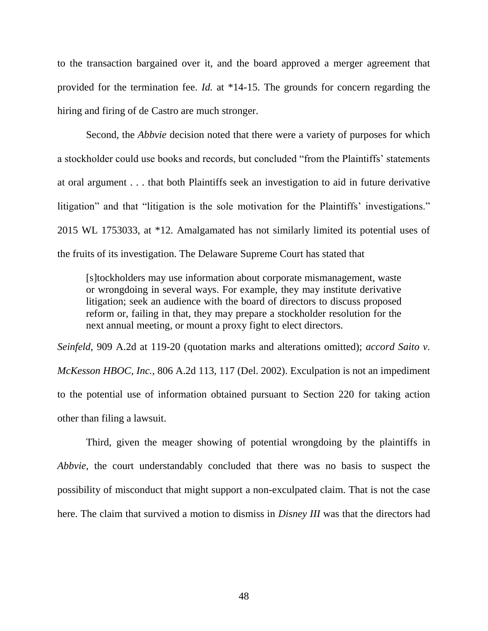to the transaction bargained over it, and the board approved a merger agreement that provided for the termination fee. *Id.* at \*14-15. The grounds for concern regarding the hiring and firing of de Castro are much stronger.

Second, the *Abbvie* decision noted that there were a variety of purposes for which a stockholder could use books and records, but concluded "from the Plaintiffs' statements at oral argument . . . that both Plaintiffs seek an investigation to aid in future derivative litigation" and that "litigation is the sole motivation for the Plaintiffs' investigations." 2015 WL 1753033, at \*12. Amalgamated has not similarly limited its potential uses of the fruits of its investigation. The Delaware Supreme Court has stated that

[s]tockholders may use information about corporate mismanagement, waste or wrongdoing in several ways. For example, they may institute derivative litigation; seek an audience with the board of directors to discuss proposed reform or, failing in that, they may prepare a stockholder resolution for the next annual meeting, or mount a proxy fight to elect directors.

*Seinfeld*, 909 A.2d at 119-20 (quotation marks and alterations omitted); *accord Saito v. McKesson HBOC, Inc.*, 806 A.2d 113, 117 (Del. 2002). Exculpation is not an impediment to the potential use of information obtained pursuant to Section 220 for taking action other than filing a lawsuit.

Third, given the meager showing of potential wrongdoing by the plaintiffs in *Abbvie*, the court understandably concluded that there was no basis to suspect the possibility of misconduct that might support a non-exculpated claim. That is not the case here. The claim that survived a motion to dismiss in *Disney III* was that the directors had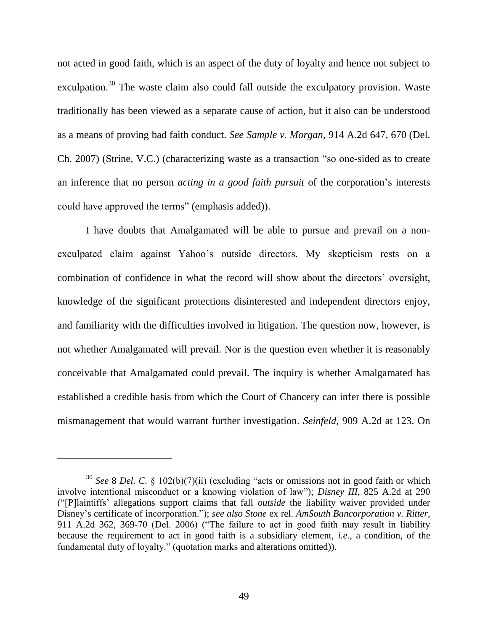not acted in good faith, which is an aspect of the duty of loyalty and hence not subject to exculpation.<sup>30</sup> The waste claim also could fall outside the exculpatory provision. Waste traditionally has been viewed as a separate cause of action, but it also can be understood as a means of proving bad faith conduct. *See Sample v. Morgan*, 914 A.2d 647, 670 (Del. Ch. 2007) (Strine, V.C.) (characterizing waste as a transaction "so one-sided as to create an inference that no person *acting in a good faith pursuit* of the corporation's interests could have approved the terms" (emphasis added)).

I have doubts that Amalgamated will be able to pursue and prevail on a nonexculpated claim against Yahoo's outside directors. My skepticism rests on a combination of confidence in what the record will show about the directors' oversight, knowledge of the significant protections disinterested and independent directors enjoy, and familiarity with the difficulties involved in litigation. The question now, however, is not whether Amalgamated will prevail. Nor is the question even whether it is reasonably conceivable that Amalgamated could prevail. The inquiry is whether Amalgamated has established a credible basis from which the Court of Chancery can infer there is possible mismanagement that would warrant further investigation. *Seinfeld*, 909 A.2d at 123. On

 $30$  *See* 8 *Del.* C. § 102(b)(7)(ii) (excluding "acts or omissions not in good faith or which involve intentional misconduct or a knowing violation of law"); *Disney III*, 825 A.2d at 290 (―[P]laintiffs' allegations support claims that fall *outside* the liability waiver provided under Disney's certificate of incorporation."); *see also Stone* ex rel. *AmSouth Bancorporation v. Ritter*, 911 A.2d 362, 369-70 (Del. 2006) ("The failure to act in good faith may result in liability because the requirement to act in good faith is a subsidiary element, *i.e.*, a condition, of the fundamental duty of loyalty." (quotation marks and alterations omitted)).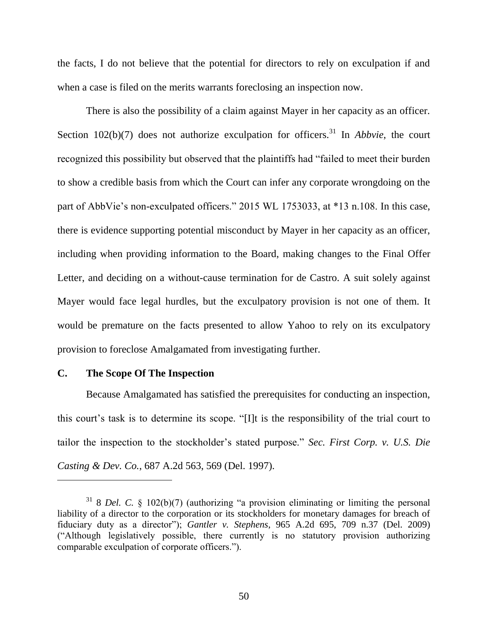the facts, I do not believe that the potential for directors to rely on exculpation if and when a case is filed on the merits warrants foreclosing an inspection now.

There is also the possibility of a claim against Mayer in her capacity as an officer. Section  $102(b)(7)$  does not authorize exculpation for officers.<sup>31</sup> In *Abbvie*, the court recognized this possibility but observed that the plaintiffs had "failed to meet their burden to show a credible basis from which the Court can infer any corporate wrongdoing on the part of AbbVie's non-exculpated officers." 2015 WL 1753033, at \*13 n.108. In this case, there is evidence supporting potential misconduct by Mayer in her capacity as an officer, including when providing information to the Board, making changes to the Final Offer Letter, and deciding on a without-cause termination for de Castro. A suit solely against Mayer would face legal hurdles, but the exculpatory provision is not one of them. It would be premature on the facts presented to allow Yahoo to rely on its exculpatory provision to foreclose Amalgamated from investigating further.

## **C. The Scope Of The Inspection**

 $\overline{a}$ 

Because Amalgamated has satisfied the prerequisites for conducting an inspection, this court's task is to determine its scope. "[I]t is the responsibility of the trial court to tailor the inspection to the stockholder's stated purpose." *Sec. First Corp. v. U.S. Die Casting & Dev. Co.*, 687 A.2d 563, 569 (Del. 1997).

 $31$  8 *Del. C.* § 102(b)(7) (authorizing "a provision eliminating or limiting the personal liability of a director to the corporation or its stockholders for monetary damages for breach of fiduciary duty as a director"); *Gantler v. Stephens*, 965 A.2d 695, 709 n.37 (Del. 2009) (―Although legislatively possible, there currently is no statutory provision authorizing comparable exculpation of corporate officers.").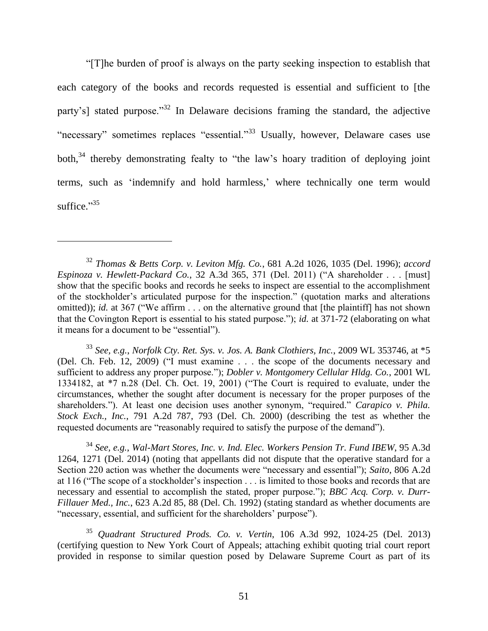―[T]he burden of proof is always on the party seeking inspection to establish that each category of the books and records requested is essential and sufficient to [the party's] stated purpose.<sup>32</sup> In Delaware decisions framing the standard, the adjective "necessary" sometimes replaces "essential."<sup>33</sup> Usually, however, Delaware cases use both, $34$  thereby demonstrating fealty to "the law's hoary tradition of deploying joint terms, such as 'indemnify and hold harmless,' where technically one term would suffice."35

 $\overline{a}$ 

<sup>33</sup> *See, e.g.*, *Norfolk Cty. Ret. Sys. v. Jos. A. Bank Clothiers, Inc.*, 2009 WL 353746, at \*5 (Del. Ch. Feb. 12, 2009) ( $\degree$ I must examine . . . the scope of the documents necessary and sufficient to address any proper purpose."); *Dobler v. Montgomery Cellular Hldg. Co.*, 2001 WL 1334182, at  $*7$  n.28 (Del. Ch. Oct. 19, 2001) ("The Court is required to evaluate, under the circumstances, whether the sought after document is necessary for the proper purposes of the shareholders."). At least one decision uses another synonym, "required." *Carapico v. Phila. Stock Exch., Inc.*, 791 A.2d 787, 793 (Del. Ch. 2000) (describing the test as whether the requested documents are "reasonably required to satisfy the purpose of the demand").

<sup>34</sup> *See, e.g.*, *Wal-Mart Stores, Inc. v. Ind. Elec. Workers Pension Tr. Fund IBEW*, 95 A.3d 1264, 1271 (Del. 2014) (noting that appellants did not dispute that the operative standard for a Section 220 action was whether the documents were "necessary and essential"); *Saito*, 806 A.2d at 116 ("The scope of a stockholder's inspection . . . is limited to those books and records that are necessary and essential to accomplish the stated, proper purpose."); *BBC Acq. Corp. v. Durr-Fillauer Med., Inc.*, 623 A.2d 85, 88 (Del. Ch. 1992) (stating standard as whether documents are "necessary, essential, and sufficient for the shareholders' purpose").

<sup>35</sup> *Quadrant Structured Prods. Co. v. Vertin*, 106 A.3d 992, 1024-25 (Del. 2013) (certifying question to New York Court of Appeals; attaching exhibit quoting trial court report provided in response to similar question posed by Delaware Supreme Court as part of its

<sup>32</sup> *Thomas & Betts Corp. v. Leviton Mfg. Co.*, 681 A.2d 1026, 1035 (Del. 1996); *accord Espinoza v. Hewlett-Packard Co.*, 32 A.3d 365, 371 (Del. 2011) ("A shareholder . . . [must] show that the specific books and records he seeks to inspect are essential to the accomplishment of the stockholder's articulated purpose for the inspection." (quotation marks and alterations omitted)); *id.* at 367 ("We affirm . . . on the alternative ground that [the plaintiff] has not shown that the Covington Report is essential to his stated purpose."); *id.* at 371-72 (elaborating on what it means for a document to be "essential").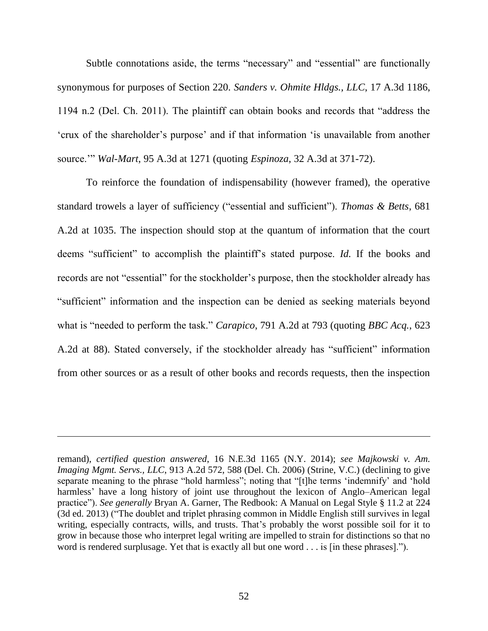Subtle connotations aside, the terms "necessary" and "essential" are functionally synonymous for purposes of Section 220. *Sanders v. Ohmite Hldgs., LLC*, 17 A.3d 1186, 1194 n.2 (Del. Ch. 2011). The plaintiff can obtain books and records that "address the ‗crux of the shareholder's purpose' and if that information ‗is unavailable from another source.'‖ *Wal-Mart*, 95 A.3d at 1271 (quoting *Espinoza*, 32 A.3d at 371-72).

To reinforce the foundation of indispensability (however framed), the operative standard trowels a layer of sufficiency ("essential and sufficient"). *Thomas & Betts*, 681 A.2d at 1035. The inspection should stop at the quantum of information that the court deems "sufficient" to accomplish the plaintiff's stated purpose. *Id*. If the books and records are not "essential" for the stockholder's purpose, then the stockholder already has "sufficient" information and the inspection can be denied as seeking materials beyond what is "needed to perform the task." *Carapico*, 791 A.2d at 793 (quoting *BBC Acq.*, 623 A.2d at 88). Stated conversely, if the stockholder already has "sufficient" information from other sources or as a result of other books and records requests, then the inspection

 $\overline{a}$ 

remand), *certified question answered*, 16 N.E.3d 1165 (N.Y. 2014); *see Majkowski v. Am. Imaging Mgmt. Servs., LLC, 913 A.2d 572, 588 (Del. Ch. 2006) (Strine, V.C.) (declining to give* separate meaning to the phrase "hold harmless"; noting that "[t]he terms 'indemnify' and 'hold harmless' have a long history of joint use throughout the lexicon of Anglo–American legal practice"). *See generally* Bryan A. Garner, The Redbook: A Manual on Legal Style § 11.2 at 224 (3d ed. 2013) ("The doublet and triplet phrasing common in Middle English still survives in legal writing, especially contracts, wills, and trusts. That's probably the worst possible soil for it to grow in because those who interpret legal writing are impelled to strain for distinctions so that no word is rendered surplusage. Yet that is exactly all but one word . . . is [in these phrases].").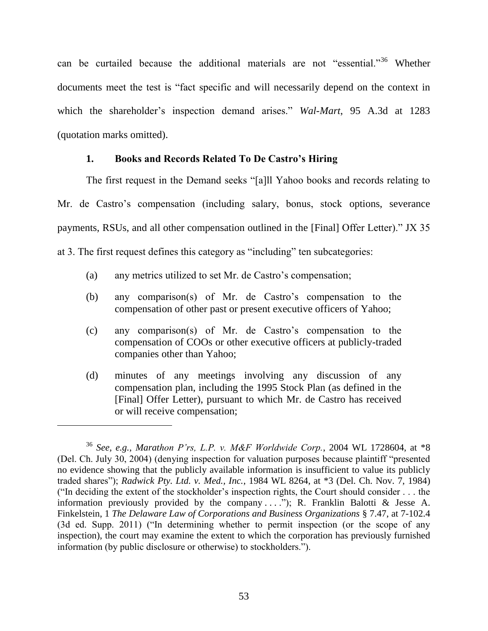can be curtailed because the additional materials are not "essential."<sup>36</sup> Whether documents meet the test is "fact specific and will necessarily depend on the context in which the shareholder's inspection demand arises." *Wal-Mart*, 95 A.3d at 1283 (quotation marks omitted).

# **1. Books and Records Related To De Castro's Hiring**

The first request in the Demand seeks "[a]ll Yahoo books and records relating to Mr. de Castro's compensation (including salary, bonus, stock options, severance payments, RSUs, and all other compensation outlined in the [Final] Offer Letter)." JX 35 at 3. The first request defines this category as "including" ten subcategories:

(a) any metrics utilized to set Mr. de Castro's compensation;

 $\overline{a}$ 

- (b) any comparison(s) of Mr. de Castro's compensation to the compensation of other past or present executive officers of Yahoo;
- (c) any comparison(s) of Mr. de Castro's compensation to the compensation of COOs or other executive officers at publicly-traded companies other than Yahoo;
- (d) minutes of any meetings involving any discussion of any compensation plan, including the 1995 Stock Plan (as defined in the [Final] Offer Letter), pursuant to which Mr. de Castro has received or will receive compensation;

<sup>36</sup> *See, e.g.*, *Marathon P'rs, L.P. v. M&F Worldwide Corp.*, 2004 WL 1728604, at \*8 (Del. Ch. July 30, 2004) (denying inspection for valuation purposes because plaintiff "presented no evidence showing that the publicly available information is insufficient to value its publicly traded shares‖); *Radwick Pty. Ltd. v. Med., Inc.*, 1984 WL 8264, at \*3 (Del. Ch. Nov. 7, 1984) ("In deciding the extent of the stockholder's inspection rights, the Court should consider  $\dots$  the information previously provided by the company ...."); R. Franklin Balotti & Jesse A. Finkelstein, 1 *The Delaware Law of Corporations and Business Organizations* § 7.47, at 7-102.4  $(3d$  ed. Supp. 2011) ( $\text{``In determining whether to permit inspection (or the scope of any})$ inspection), the court may examine the extent to which the corporation has previously furnished information (by public disclosure or otherwise) to stockholders.").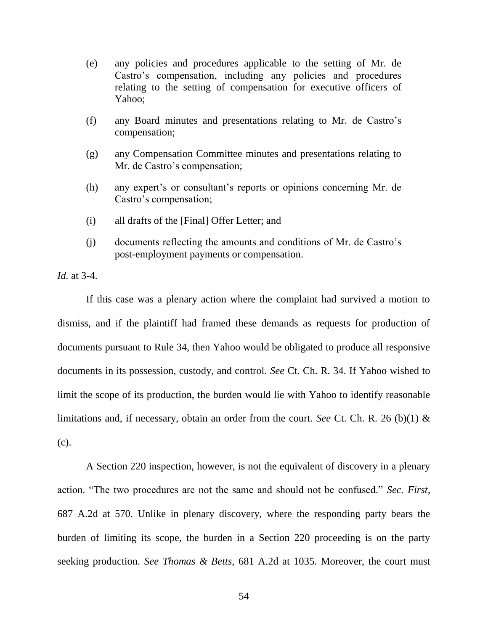- (e) any policies and procedures applicable to the setting of Mr. de Castro's compensation, including any policies and procedures relating to the setting of compensation for executive officers of Yahoo;
- (f) any Board minutes and presentations relating to Mr. de Castro's compensation;
- (g) any Compensation Committee minutes and presentations relating to Mr. de Castro's compensation;
- (h) any expert's or consultant's reports or opinions concerning Mr. de Castro's compensation;
- (i) all drafts of the [Final] Offer Letter; and
- (j) documents reflecting the amounts and conditions of Mr. de Castro's post-employment payments or compensation.

*Id.* at 3-4.

If this case was a plenary action where the complaint had survived a motion to dismiss, and if the plaintiff had framed these demands as requests for production of documents pursuant to Rule 34, then Yahoo would be obligated to produce all responsive documents in its possession, custody, and control. *See* Ct. Ch. R. 34. If Yahoo wished to limit the scope of its production, the burden would lie with Yahoo to identify reasonable limitations and, if necessary, obtain an order from the court. *See* Ct. Ch. R. 26 (b)(1) & (c).

A Section 220 inspection, however, is not the equivalent of discovery in a plenary action. "The two procedures are not the same and should not be confused." *Sec. First*, 687 A.2d at 570. Unlike in plenary discovery, where the responding party bears the burden of limiting its scope, the burden in a Section 220 proceeding is on the party seeking production. *See Thomas & Betts*, 681 A.2d at 1035. Moreover, the court must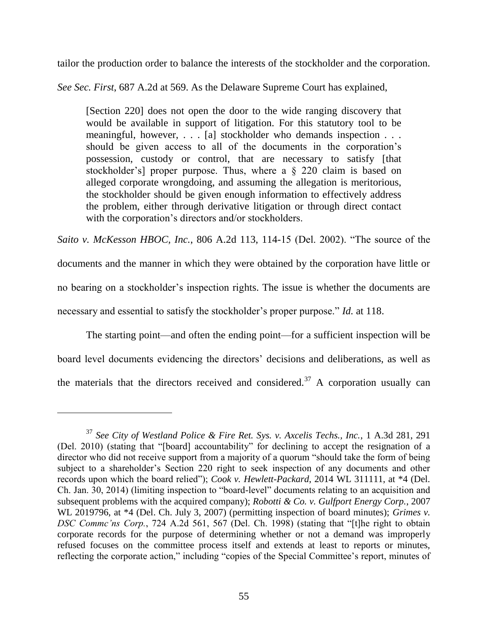tailor the production order to balance the interests of the stockholder and the corporation.

*See Sec. First*, 687 A.2d at 569. As the Delaware Supreme Court has explained,

[Section 220] does not open the door to the wide ranging discovery that would be available in support of litigation. For this statutory tool to be meaningful, however, . . . [a] stockholder who demands inspection . . . should be given access to all of the documents in the corporation's possession, custody or control, that are necessary to satisfy [that stockholder's] proper purpose. Thus, where a § 220 claim is based on alleged corporate wrongdoing, and assuming the allegation is meritorious, the stockholder should be given enough information to effectively address the problem, either through derivative litigation or through direct contact with the corporation's directors and/or stockholders.

*Saito v. McKesson HBOC, Inc.*, 806 A.2d 113, 114-15 (Del. 2002). "The source of the

documents and the manner in which they were obtained by the corporation have little or no bearing on a stockholder's inspection rights. The issue is whether the documents are necessary and essential to satisfy the stockholder's proper purpose." *Id.* at 118.

The starting point—and often the ending point—for a sufficient inspection will be board level documents evidencing the directors' decisions and deliberations, as well as the materials that the directors received and considered.<sup>37</sup> A corporation usually can

<sup>37</sup> *See City of Westland Police & Fire Ret. Sys. v. Axcelis Techs., Inc.*, 1 A.3d 281, 291 (Del. 2010) (stating that "[board] accountability" for declining to accept the resignation of a director who did not receive support from a majority of a quorum "should take the form of being subject to a shareholder's Section 220 right to seek inspection of any documents and other records upon which the board relied"); *Cook v. Hewlett-Packard*, 2014 WL 311111, at \*4 (Del. Ch. Jan. 30, 2014) (limiting inspection to "board-level" documents relating to an acquisition and subsequent problems with the acquired company); *Robotti & Co. v. Gulfport Energy Corp.*, 2007 WL 2019796, at \*4 (Del. Ch. July 3, 2007) (permitting inspection of board minutes); *Grimes v. DSC Commc'ns Corp.*, 724 A.2d 561, 567 (Del. Ch. 1998) (stating that "[t]he right to obtain corporate records for the purpose of determining whether or not a demand was improperly refused focuses on the committee process itself and extends at least to reports or minutes, reflecting the corporate action," including "copies of the Special Committee's report, minutes of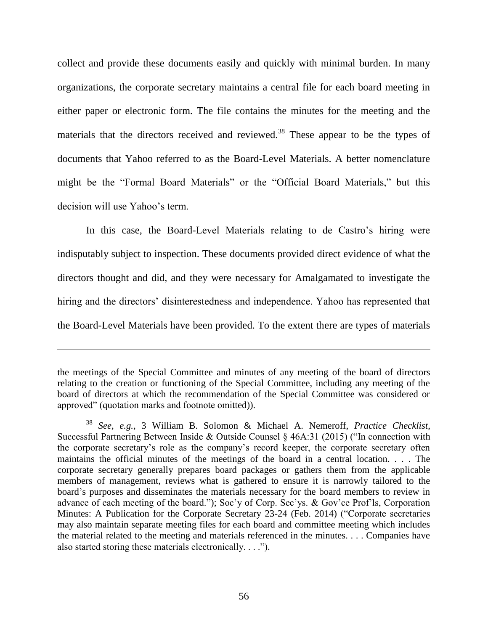collect and provide these documents easily and quickly with minimal burden. In many organizations, the corporate secretary maintains a central file for each board meeting in either paper or electronic form. The file contains the minutes for the meeting and the materials that the directors received and reviewed.<sup>38</sup> These appear to be the types of documents that Yahoo referred to as the Board-Level Materials. A better nomenclature might be the "Formal Board Materials" or the "Official Board Materials," but this decision will use Yahoo's term.

In this case, the Board-Level Materials relating to de Castro's hiring were indisputably subject to inspection. These documents provided direct evidence of what the directors thought and did, and they were necessary for Amalgamated to investigate the hiring and the directors' disinterestedness and independence. Yahoo has represented that the Board-Level Materials have been provided. To the extent there are types of materials

 $\overline{a}$ 

the meetings of the Special Committee and minutes of any meeting of the board of directors relating to the creation or functioning of the Special Committee, including any meeting of the board of directors at which the recommendation of the Special Committee was considered or approved" (quotation marks and footnote omitted)).

<sup>38</sup> *See, e.g.*, 3 William B. Solomon & Michael A. Nemeroff, *Practice Checklist*, Successful Partnering Between Inside & Outside Counsel  $\frac{1}{2}$  46A:31 (2015) ("In connection with the corporate secretary's role as the company's record keeper, the corporate secretary often maintains the official minutes of the meetings of the board in a central location. . . . The corporate secretary generally prepares board packages or gathers them from the applicable members of management, reviews what is gathered to ensure it is narrowly tailored to the board's purposes and disseminates the materials necessary for the board members to review in advance of each meeting of the board."); Soc'y of Corp. Sec'ys. & Gov'ce Prof'ls, Corporation Minutes: A Publication for the Corporate Secretary 23-24 (Feb. 2014) ("Corporate secretaries may also maintain separate meeting files for each board and committee meeting which includes the material related to the meeting and materials referenced in the minutes. . . . Companies have also started storing these materials electronically.  $\dots$ ").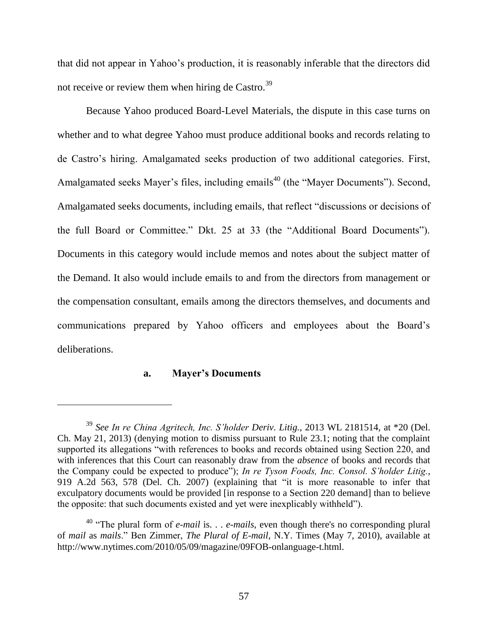that did not appear in Yahoo's production, it is reasonably inferable that the directors did not receive or review them when hiring de Castro.<sup>39</sup>

Because Yahoo produced Board-Level Materials, the dispute in this case turns on whether and to what degree Yahoo must produce additional books and records relating to de Castro's hiring. Amalgamated seeks production of two additional categories. First, Amalgamated seeks Mayer's files, including emails<sup>40</sup> (the "Mayer Documents"). Second, Amalgamated seeks documents, including emails, that reflect "discussions or decisions of the full Board or Committee." Dkt. 25 at 33 (the "Additional Board Documents"). Documents in this category would include memos and notes about the subject matter of the Demand. It also would include emails to and from the directors from management or the compensation consultant, emails among the directors themselves, and documents and communications prepared by Yahoo officers and employees about the Board's deliberations.

### **a. Mayer's Documents**

 $\overline{a}$ 

<sup>39</sup> *See In re China Agritech, Inc. S'holder Deriv. Litig.*, 2013 WL 2181514, at \*20 (Del. Ch. May 21, 2013) (denying motion to dismiss pursuant to Rule 23.1; noting that the complaint supported its allegations "with references to books and records obtained using Section 220, and with inferences that this Court can reasonably draw from the *absence* of books and records that the Company could be expected to produce"); *In re Tyson Foods, Inc. Consol. S'holder Litig.*, 919 A.2d 563, 578 (Del. Ch. 2007) (explaining that "it is more reasonable to infer that exculpatory documents would be provided [in response to a Section 220 demand] than to believe the opposite: that such documents existed and yet were inexplicably withheld").

<sup>&</sup>lt;sup>40</sup> "The plural form of *e-mail* is. . . *e-mails*, even though there's no corresponding plural of *mail* as *mails*.‖ Ben Zimmer, *The Plural of E-mail*, N.Y. Times (May 7, 2010), available at http://www.nytimes.com/2010/05/09/magazine/09FOB-onlanguage-t.html.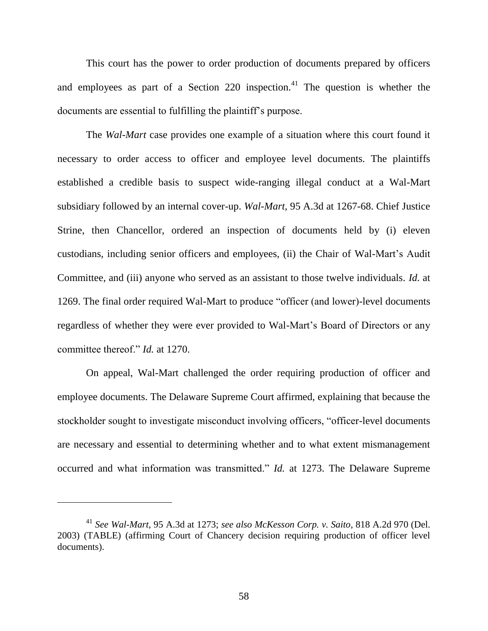This court has the power to order production of documents prepared by officers and employees as part of a Section 220 inspection.<sup>41</sup> The question is whether the documents are essential to fulfilling the plaintiff's purpose.

The *Wal-Mart* case provides one example of a situation where this court found it necessary to order access to officer and employee level documents. The plaintiffs established a credible basis to suspect wide-ranging illegal conduct at a Wal-Mart subsidiary followed by an internal cover-up. *Wal-Mart*, 95 A.3d at 1267-68. Chief Justice Strine, then Chancellor, ordered an inspection of documents held by (i) eleven custodians, including senior officers and employees, (ii) the Chair of Wal-Mart's Audit Committee, and (iii) anyone who served as an assistant to those twelve individuals. *Id.* at 1269. The final order required Wal-Mart to produce "officer (and lower)-level documents regardless of whether they were ever provided to Wal-Mart's Board of Directors or any committee thereof." *Id.* at 1270.

On appeal, Wal-Mart challenged the order requiring production of officer and employee documents. The Delaware Supreme Court affirmed, explaining that because the stockholder sought to investigate misconduct involving officers, "officer-level documents are necessary and essential to determining whether and to what extent mismanagement occurred and what information was transmitted." *Id.* at 1273. The Delaware Supreme

<sup>41</sup> *See Wal-Mart*, 95 A.3d at 1273; *see also McKesson Corp. v. Saito*, 818 A.2d 970 (Del. 2003) (TABLE) (affirming Court of Chancery decision requiring production of officer level documents).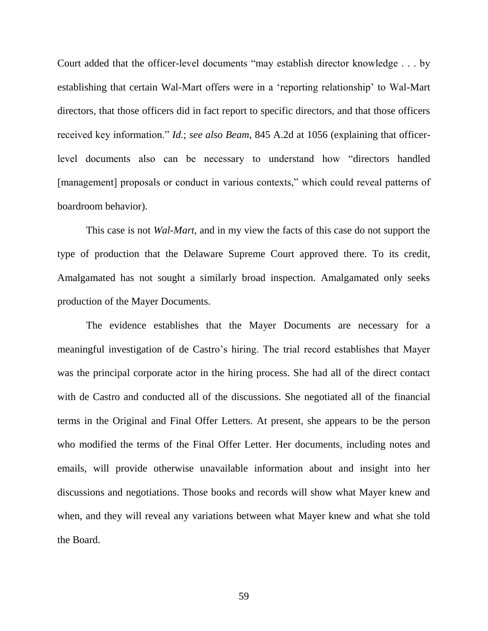Court added that the officer-level documents "may establish director knowledge . . . by establishing that certain Wal-Mart offers were in a 'reporting relationship' to Wal-Mart directors, that those officers did in fact report to specific directors, and that those officers received key information." *Id.*; see also Beam, 845 A.2d at 1056 (explaining that officerlevel documents also can be necessary to understand how "directors handled [management] proposals or conduct in various contexts," which could reveal patterns of boardroom behavior).

This case is not *Wal-Mart*, and in my view the facts of this case do not support the type of production that the Delaware Supreme Court approved there. To its credit, Amalgamated has not sought a similarly broad inspection. Amalgamated only seeks production of the Mayer Documents.

The evidence establishes that the Mayer Documents are necessary for a meaningful investigation of de Castro's hiring. The trial record establishes that Mayer was the principal corporate actor in the hiring process. She had all of the direct contact with de Castro and conducted all of the discussions. She negotiated all of the financial terms in the Original and Final Offer Letters. At present, she appears to be the person who modified the terms of the Final Offer Letter. Her documents, including notes and emails, will provide otherwise unavailable information about and insight into her discussions and negotiations. Those books and records will show what Mayer knew and when, and they will reveal any variations between what Mayer knew and what she told the Board.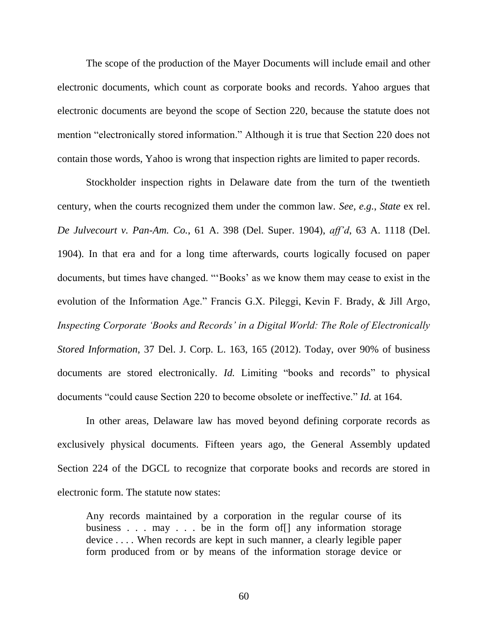The scope of the production of the Mayer Documents will include email and other electronic documents, which count as corporate books and records. Yahoo argues that electronic documents are beyond the scope of Section 220, because the statute does not mention "electronically stored information." Although it is true that Section 220 does not contain those words, Yahoo is wrong that inspection rights are limited to paper records.

Stockholder inspection rights in Delaware date from the turn of the twentieth century, when the courts recognized them under the common law. *See, e.g.*, *State* ex rel. *De Julvecourt v. Pan-Am. Co.*, 61 A. 398 (Del. Super. 1904), *aff'd*, 63 A. 1118 (Del. 1904). In that era and for a long time afterwards, courts logically focused on paper documents, but times have changed. "Books' as we know them may cease to exist in the evolution of the Information Age." Francis G.X. Pileggi, Kevin F. Brady,  $\&$  Jill Argo, *Inspecting Corporate 'Books and Records' in a Digital World: The Role of Electronically Stored Information*, 37 Del. J. Corp. L. 163, 165 (2012). Today, over 90% of business documents are stored electronically. *Id.* Limiting "books and records" to physical documents "could cause Section 220 to become obsolete or ineffective." *Id.* at 164.

In other areas, Delaware law has moved beyond defining corporate records as exclusively physical documents. Fifteen years ago, the General Assembly updated Section 224 of the DGCL to recognize that corporate books and records are stored in electronic form. The statute now states:

Any records maintained by a corporation in the regular course of its business . . . may . . . be in the form of  $\lceil \cdot \rceil$  any information storage device . . . . When records are kept in such manner, a clearly legible paper form produced from or by means of the information storage device or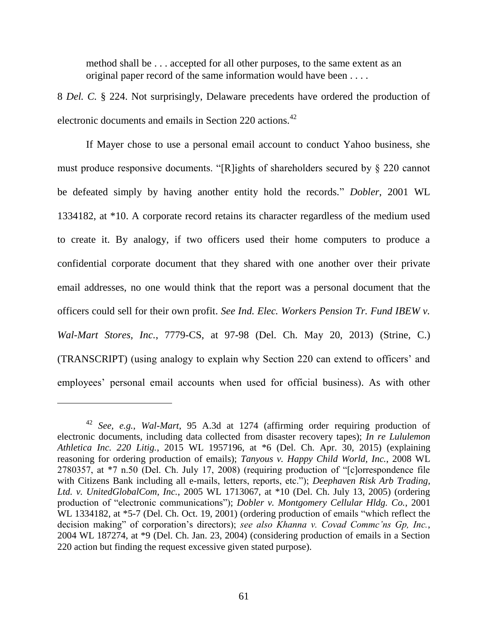method shall be . . . accepted for all other purposes, to the same extent as an original paper record of the same information would have been . . . .

8 *Del. C.* § 224. Not surprisingly, Delaware precedents have ordered the production of electronic documents and emails in Section 220 actions.<sup>42</sup>

If Mayer chose to use a personal email account to conduct Yahoo business, she must produce responsive documents. "[R]ights of shareholders secured by  $\S$  220 cannot be defeated simply by having another entity hold the records." *Dobler*, 2001 WL 1334182, at \*10. A corporate record retains its character regardless of the medium used to create it. By analogy, if two officers used their home computers to produce a confidential corporate document that they shared with one another over their private email addresses, no one would think that the report was a personal document that the officers could sell for their own profit. *See Ind. Elec. Workers Pension Tr. Fund IBEW v. Wal-Mart Stores, Inc.*, 7779-CS, at 97-98 (Del. Ch. May 20, 2013) (Strine, C.) (TRANSCRIPT) (using analogy to explain why Section 220 can extend to officers' and employees' personal email accounts when used for official business). As with other

<sup>42</sup> *See, e.g.*, *Wal-Mart*, 95 A.3d at 1274 (affirming order requiring production of electronic documents, including data collected from disaster recovery tapes); *In re Lululemon Athletica Inc. 220 Litig.*, 2015 WL 1957196, at \*6 (Del. Ch. Apr. 30, 2015) (explaining reasoning for ordering production of emails); *Tanyous v. Happy Child World, Inc.*, 2008 WL 2780357, at  $*7$  n.50 (Del. Ch. July 17, 2008) (requiring production of "[c]orrespondence file with Citizens Bank including all e-mails, letters, reports, etc."); *Deephaven Risk Arb Trading, Ltd. v. UnitedGlobalCom, Inc.*, 2005 WL 1713067, at \*10 (Del. Ch. July 13, 2005) (ordering production of "electronic communications"); *Dobler v. Montgomery Cellular Hldg. Co.*, 2001 WL 1334182, at \*5-7 (Del. Ch. Oct. 19, 2001) (ordering production of emails "which reflect the decision making" of corporation's directors); *see also Khanna v. Covad Commc'ns Gp, Inc.*, 2004 WL 187274, at \*9 (Del. Ch. Jan. 23, 2004) (considering production of emails in a Section 220 action but finding the request excessive given stated purpose).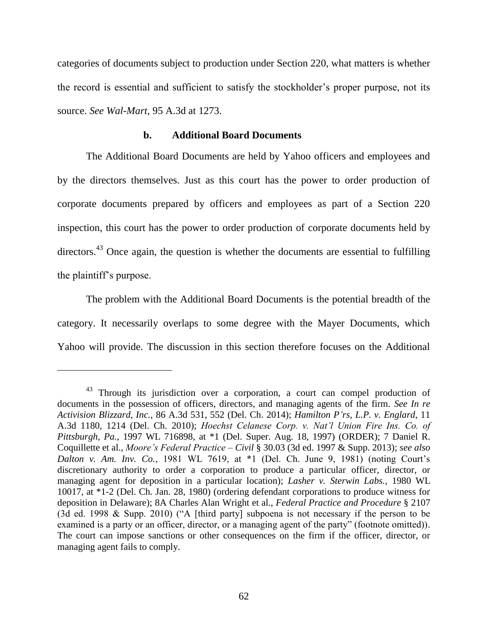categories of documents subject to production under Section 220, what matters is whether the record is essential and sufficient to satisfy the stockholder's proper purpose, not its source. *See Wal-Mart*, 95 A.3d at 1273.

#### **b. Additional Board Documents**

The Additional Board Documents are held by Yahoo officers and employees and by the directors themselves. Just as this court has the power to order production of corporate documents prepared by officers and employees as part of a Section 220 inspection, this court has the power to order production of corporate documents held by directors.<sup>43</sup> Once again, the question is whether the documents are essential to fulfilling the plaintiff's purpose.

The problem with the Additional Board Documents is the potential breadth of the category. It necessarily overlaps to some degree with the Mayer Documents, which Yahoo will provide. The discussion in this section therefore focuses on the Additional

 $\overline{a}$ 

<sup>&</sup>lt;sup>43</sup> Through its jurisdiction over a corporation, a court can compel production of documents in the possession of officers, directors, and managing agents of the firm. *See In re Activision Blizzard, Inc.*, 86 A.3d 531, 552 (Del. Ch. 2014); *Hamilton P'rs, L.P. v. Englard*, 11 A.3d 1180, 1214 (Del. Ch. 2010); *Hoechst Celanese Corp. v. Nat'l Union Fire Ins. Co. of Pittsburgh, Pa.*, 1997 WL 716898, at \*1 (Del. Super. Aug. 18, 1997) (ORDER); 7 Daniel R. Coquillette et al., *Moore's Federal Practice – Civil* § 30.03 (3d ed. 1997 & Supp. 2013); *see also Dalton v. Am. Inv. Co.*, 1981 WL 7619, at \*1 (Del. Ch. June 9, 1981) (noting Court's discretionary authority to order a corporation to produce a particular officer, director, or managing agent for deposition in a particular location); *Lasher v. Sterwin Labs.*, 1980 WL 10017, at \*1-2 (Del. Ch. Jan. 28, 1980) (ordering defendant corporations to produce witness for deposition in Delaware); 8A Charles Alan Wright et al., *Federal Practice and Procedure* § 2107 (3d ed. 1998  $& Supp. 2010$ ) ("A [third party] subpoena is not necessary if the person to be examined is a party or an officer, director, or a managing agent of the party" (footnote omitted)). The court can impose sanctions or other consequences on the firm if the officer, director, or managing agent fails to comply.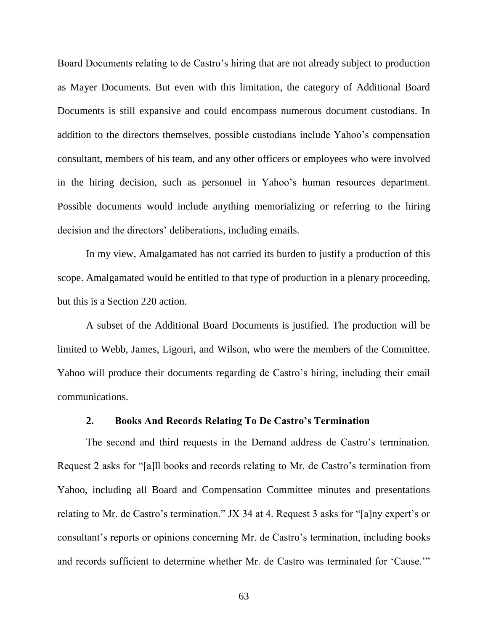Board Documents relating to de Castro's hiring that are not already subject to production as Mayer Documents. But even with this limitation, the category of Additional Board Documents is still expansive and could encompass numerous document custodians. In addition to the directors themselves, possible custodians include Yahoo's compensation consultant, members of his team, and any other officers or employees who were involved in the hiring decision, such as personnel in Yahoo's human resources department. Possible documents would include anything memorializing or referring to the hiring decision and the directors' deliberations, including emails.

In my view, Amalgamated has not carried its burden to justify a production of this scope. Amalgamated would be entitled to that type of production in a plenary proceeding, but this is a Section 220 action.

A subset of the Additional Board Documents is justified. The production will be limited to Webb, James, Ligouri, and Wilson, who were the members of the Committee. Yahoo will produce their documents regarding de Castro's hiring, including their email communications.

## **2. Books And Records Relating To De Castro's Termination**

The second and third requests in the Demand address de Castro's termination. Request 2 asks for "[a]ll books and records relating to Mr. de Castro's termination from Yahoo, including all Board and Compensation Committee minutes and presentations relating to Mr. de Castro's termination." JX 34 at 4. Request 3 asks for "[a]ny expert's or consultant's reports or opinions concerning Mr. de Castro's termination, including books and records sufficient to determine whether Mr. de Castro was terminated for 'Cause.'"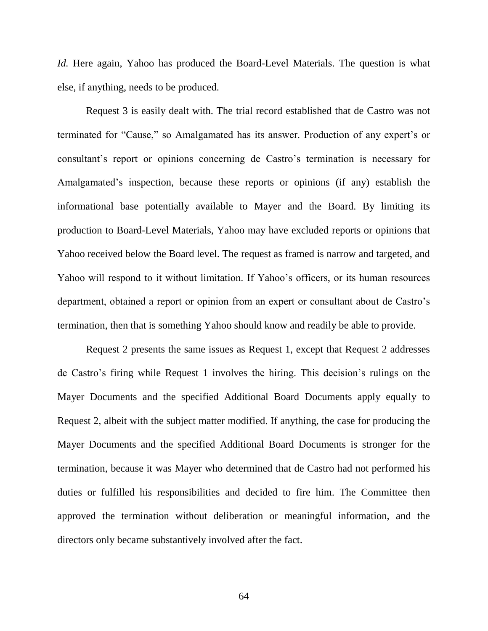*Id.* Here again, Yahoo has produced the Board-Level Materials. The question is what else, if anything, needs to be produced.

Request 3 is easily dealt with. The trial record established that de Castro was not terminated for "Cause," so Amalgamated has its answer. Production of any expert's or consultant's report or opinions concerning de Castro's termination is necessary for Amalgamated's inspection, because these reports or opinions (if any) establish the informational base potentially available to Mayer and the Board. By limiting its production to Board-Level Materials, Yahoo may have excluded reports or opinions that Yahoo received below the Board level. The request as framed is narrow and targeted, and Yahoo will respond to it without limitation. If Yahoo's officers, or its human resources department, obtained a report or opinion from an expert or consultant about de Castro's termination, then that is something Yahoo should know and readily be able to provide.

Request 2 presents the same issues as Request 1, except that Request 2 addresses de Castro's firing while Request 1 involves the hiring. This decision's rulings on the Mayer Documents and the specified Additional Board Documents apply equally to Request 2, albeit with the subject matter modified. If anything, the case for producing the Mayer Documents and the specified Additional Board Documents is stronger for the termination, because it was Mayer who determined that de Castro had not performed his duties or fulfilled his responsibilities and decided to fire him. The Committee then approved the termination without deliberation or meaningful information, and the directors only became substantively involved after the fact.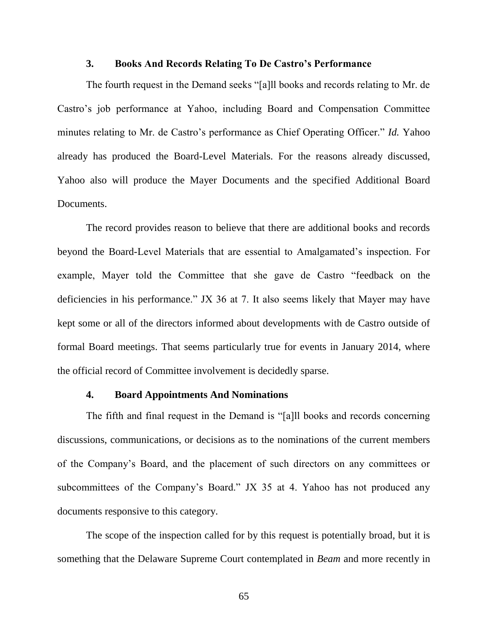### **3. Books And Records Relating To De Castro's Performance**

The fourth request in the Demand seeks "[a]ll books and records relating to Mr. de Castro's job performance at Yahoo, including Board and Compensation Committee minutes relating to Mr. de Castro's performance as Chief Operating Officer." *Id.* Yahoo already has produced the Board-Level Materials. For the reasons already discussed, Yahoo also will produce the Mayer Documents and the specified Additional Board Documents.

The record provides reason to believe that there are additional books and records beyond the Board-Level Materials that are essential to Amalgamated's inspection. For example, Mayer told the Committee that she gave de Castro "feedback on the deficiencies in his performance." JX 36 at 7. It also seems likely that Mayer may have kept some or all of the directors informed about developments with de Castro outside of formal Board meetings. That seems particularly true for events in January 2014, where the official record of Committee involvement is decidedly sparse.

## **4. Board Appointments And Nominations**

The fifth and final request in the Demand is "[a]ll books and records concerning discussions, communications, or decisions as to the nominations of the current members of the Company's Board, and the placement of such directors on any committees or subcommittees of the Company's Board." JX 35 at 4. Yahoo has not produced any documents responsive to this category.

The scope of the inspection called for by this request is potentially broad, but it is something that the Delaware Supreme Court contemplated in *Beam* and more recently in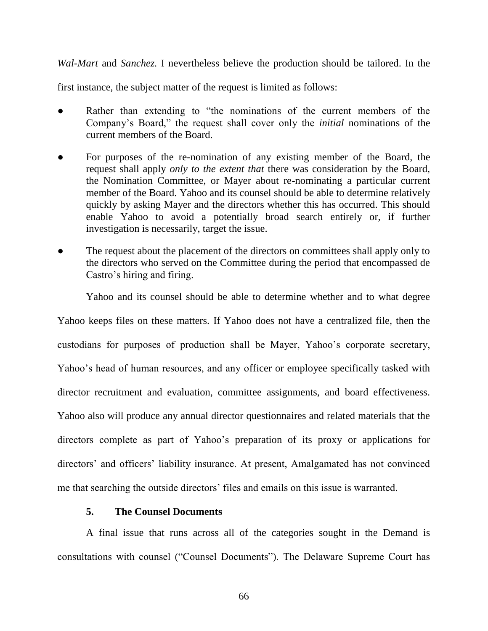*Wal-Mart* and *Sanchez.* I nevertheless believe the production should be tailored. In the

first instance, the subject matter of the request is limited as follows:

- Rather than extending to "the nominations of the current members of the Company's Board," the request shall cover only the *initial* nominations of the current members of the Board.
- For purposes of the re-nomination of any existing member of the Board, the request shall apply *only to the extent that* there was consideration by the Board, the Nomination Committee, or Mayer about re-nominating a particular current member of the Board. Yahoo and its counsel should be able to determine relatively quickly by asking Mayer and the directors whether this has occurred. This should enable Yahoo to avoid a potentially broad search entirely or, if further investigation is necessarily, target the issue.
- The request about the placement of the directors on committees shall apply only to the directors who served on the Committee during the period that encompassed de Castro's hiring and firing.

Yahoo and its counsel should be able to determine whether and to what degree Yahoo keeps files on these matters. If Yahoo does not have a centralized file, then the custodians for purposes of production shall be Mayer, Yahoo's corporate secretary, Yahoo's head of human resources, and any officer or employee specifically tasked with director recruitment and evaluation, committee assignments, and board effectiveness. Yahoo also will produce any annual director questionnaires and related materials that the directors complete as part of Yahoo's preparation of its proxy or applications for directors' and officers' liability insurance. At present, Amalgamated has not convinced me that searching the outside directors' files and emails on this issue is warranted.

# **5. The Counsel Documents**

A final issue that runs across all of the categories sought in the Demand is consultations with counsel ("Counsel Documents"). The Delaware Supreme Court has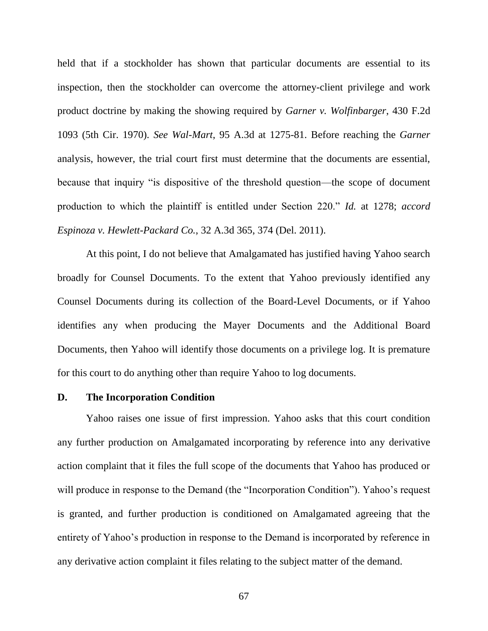held that if a stockholder has shown that particular documents are essential to its inspection, then the stockholder can overcome the attorney-client privilege and work product doctrine by making the showing required by *Garner v. Wolfinbarger*, 430 F.2d 1093 (5th Cir. 1970). *See Wal-Mart*, 95 A.3d at 1275-81. Before reaching the *Garner*  analysis, however, the trial court first must determine that the documents are essential, because that inquiry "is dispositive of the threshold question—the scope of document production to which the plaintiff is entitled under Section 220." *Id.* at 1278; *accord Espinoza v. Hewlett-Packard Co.*, 32 A.3d 365, 374 (Del. 2011).

At this point, I do not believe that Amalgamated has justified having Yahoo search broadly for Counsel Documents. To the extent that Yahoo previously identified any Counsel Documents during its collection of the Board-Level Documents, or if Yahoo identifies any when producing the Mayer Documents and the Additional Board Documents, then Yahoo will identify those documents on a privilege log. It is premature for this court to do anything other than require Yahoo to log documents.

#### **D. The Incorporation Condition**

Yahoo raises one issue of first impression. Yahoo asks that this court condition any further production on Amalgamated incorporating by reference into any derivative action complaint that it files the full scope of the documents that Yahoo has produced or will produce in response to the Demand (the "Incorporation Condition"). Yahoo's request is granted, and further production is conditioned on Amalgamated agreeing that the entirety of Yahoo's production in response to the Demand is incorporated by reference in any derivative action complaint it files relating to the subject matter of the demand.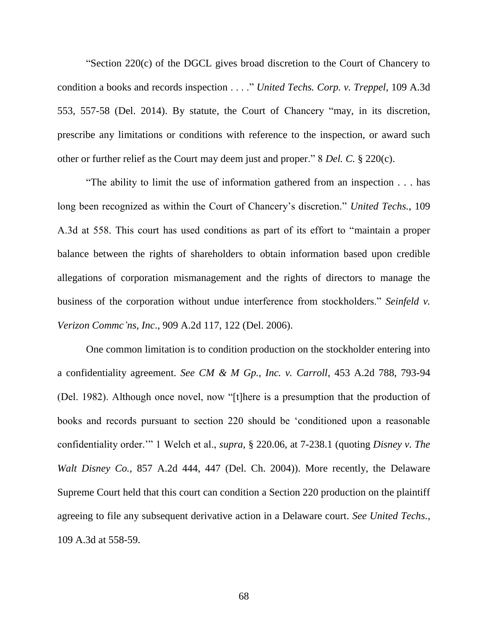"Section  $220(c)$  of the DGCL gives broad discretion to the Court of Chancery to condition a books and records inspection . . . ." *United Techs. Corp. v. Treppel*, 109 A.3d 553, 557-58 (Del. 2014). By statute, the Court of Chancery "may, in its discretion, prescribe any limitations or conditions with reference to the inspection, or award such other or further relief as the Court may deem just and proper." 8 *Del. C.* § 220(c).

―The ability to limit the use of information gathered from an inspection . . . has long been recognized as within the Court of Chancery's discretion." *United Techs.*, 109 A.3d at 558. This court has used conditions as part of its effort to "maintain a proper balance between the rights of shareholders to obtain information based upon credible allegations of corporation mismanagement and the rights of directors to manage the business of the corporation without undue interference from stockholders." Seinfeld v. *Verizon Commc'ns, Inc*., 909 A.2d 117, 122 (Del. 2006).

One common limitation is to condition production on the stockholder entering into a confidentiality agreement. *See CM & M Gp., Inc. v. Carroll*, 453 A.2d 788, 793-94 (Del. 1982). Although once novel, now "[t]here is a presumption that the production of books and records pursuant to section 220 should be 'conditioned upon a reasonable confidentiality order." 1 Welch et al., *supra*, § 220.06, at 7-238.1 (quoting *Disney v. The Walt Disney Co.*, 857 A.2d 444, 447 (Del. Ch. 2004)). More recently, the Delaware Supreme Court held that this court can condition a Section 220 production on the plaintiff agreeing to file any subsequent derivative action in a Delaware court. *See United Techs.*, 109 A.3d at 558-59.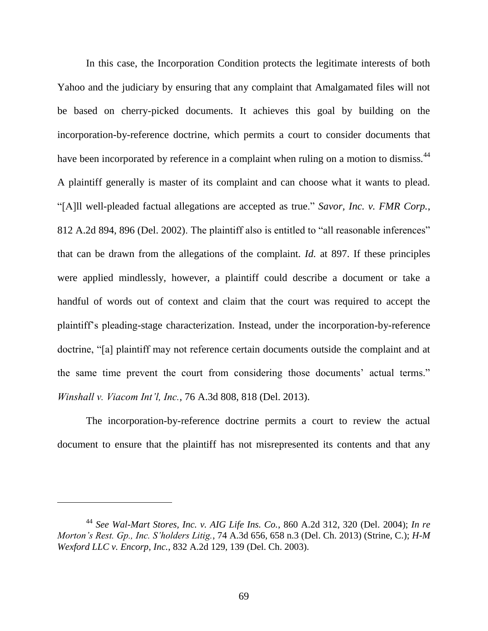In this case, the Incorporation Condition protects the legitimate interests of both Yahoo and the judiciary by ensuring that any complaint that Amalgamated files will not be based on cherry-picked documents. It achieves this goal by building on the incorporation-by-reference doctrine, which permits a court to consider documents that have been incorporated by reference in a complaint when ruling on a motion to dismiss.<sup>44</sup> A plaintiff generally is master of its complaint and can choose what it wants to plead. ―[A]ll well-pleaded factual allegations are accepted as true.‖ *Savor, Inc. v. FMR Corp.*, 812 A.2d 894, 896 (Del. 2002). The plaintiff also is entitled to "all reasonable inferences" that can be drawn from the allegations of the complaint. *Id.* at 897. If these principles were applied mindlessly, however, a plaintiff could describe a document or take a handful of words out of context and claim that the court was required to accept the plaintiff's pleading-stage characterization. Instead, under the incorporation-by-reference doctrine, "[a] plaintiff may not reference certain documents outside the complaint and at the same time prevent the court from considering those documents' actual terms." *Winshall v. Viacom Int'l, Inc.*, 76 A.3d 808, 818 (Del. 2013).

The incorporation-by-reference doctrine permits a court to review the actual document to ensure that the plaintiff has not misrepresented its contents and that any

<sup>44</sup> *See Wal-Mart Stores, Inc. v. AIG Life Ins. Co.*, 860 A.2d 312, 320 (Del. 2004); *In re Morton's Rest. Gp., Inc. S'holders Litig.*, 74 A.3d 656, 658 n.3 (Del. Ch. 2013) (Strine, C.); *H-M Wexford LLC v. Encorp, Inc.*, 832 A.2d 129, 139 (Del. Ch. 2003).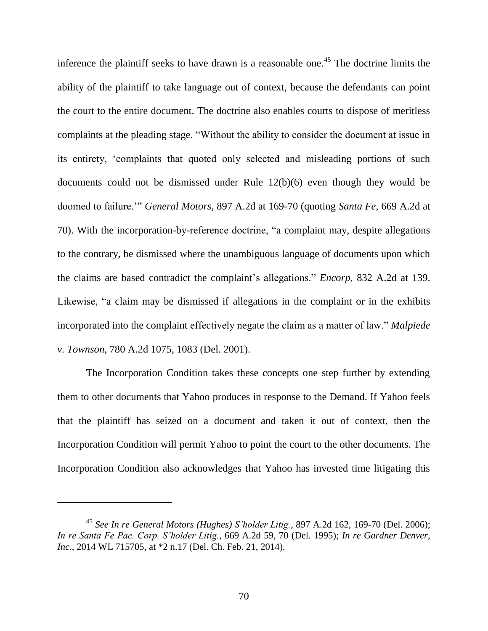inference the plaintiff seeks to have drawn is a reasonable one.<sup>45</sup> The doctrine limits the ability of the plaintiff to take language out of context, because the defendants can point the court to the entire document. The doctrine also enables courts to dispose of meritless complaints at the pleading stage. "Without the ability to consider the document at issue in its entirety, ‗complaints that quoted only selected and misleading portions of such documents could not be dismissed under Rule 12(b)(6) even though they would be doomed to failure." *General Motors*, 897 A.2d at 169-70 (quoting *Santa Fe*, 669 A.2d at 70). With the incorporation-by-reference doctrine, "a complaint may, despite allegations to the contrary, be dismissed where the unambiguous language of documents upon which the claims are based contradict the complaint's allegations." *Encorp*, 832 A.2d at 139. Likewise, "a claim may be dismissed if allegations in the complaint or in the exhibits incorporated into the complaint effectively negate the claim as a matter of law." *Malpiede v. Townson*, 780 A.2d 1075, 1083 (Del. 2001).

The Incorporation Condition takes these concepts one step further by extending them to other documents that Yahoo produces in response to the Demand. If Yahoo feels that the plaintiff has seized on a document and taken it out of context, then the Incorporation Condition will permit Yahoo to point the court to the other documents. The Incorporation Condition also acknowledges that Yahoo has invested time litigating this

<sup>45</sup> *See In re General Motors (Hughes) S'holder Litig.*, 897 A.2d 162, 169-70 (Del. 2006); *In re Santa Fe Pac. Corp. S'holder Litig.*, 669 A.2d 59, 70 (Del. 1995); *In re Gardner Denver, Inc.*, 2014 WL 715705, at \*2 n.17 (Del. Ch. Feb. 21, 2014).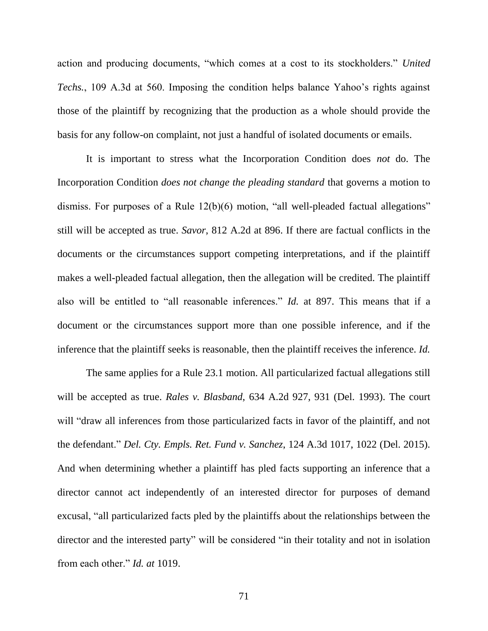action and producing documents, "which comes at a cost to its stockholders." *United Techs.*, 109 A.3d at 560. Imposing the condition helps balance Yahoo's rights against those of the plaintiff by recognizing that the production as a whole should provide the basis for any follow-on complaint, not just a handful of isolated documents or emails.

It is important to stress what the Incorporation Condition does *not* do. The Incorporation Condition *does not change the pleading standard* that governs a motion to dismiss. For purposes of a Rule  $12(b)(6)$  motion, "all well-pleaded factual allegations" still will be accepted as true. *Savor*, 812 A.2d at 896. If there are factual conflicts in the documents or the circumstances support competing interpretations, and if the plaintiff makes a well-pleaded factual allegation, then the allegation will be credited. The plaintiff also will be entitled to "all reasonable inferences." *Id.* at 897. This means that if a document or the circumstances support more than one possible inference, and if the inference that the plaintiff seeks is reasonable, then the plaintiff receives the inference. *Id.* 

The same applies for a Rule 23.1 motion. All particularized factual allegations still will be accepted as true. *Rales v. Blasband*, 634 A.2d 927, 931 (Del. 1993). The court will "draw all inferences from those particularized facts in favor of the plaintiff, and not the defendant.‖ *Del. Cty. Empls. Ret. Fund v. Sanchez*, 124 A.3d 1017, 1022 (Del. 2015). And when determining whether a plaintiff has pled facts supporting an inference that a director cannot act independently of an interested director for purposes of demand excusal, "all particularized facts pled by the plaintiffs about the relationships between the director and the interested party" will be considered "in their totality and not in isolation from each other." *Id. at* 1019.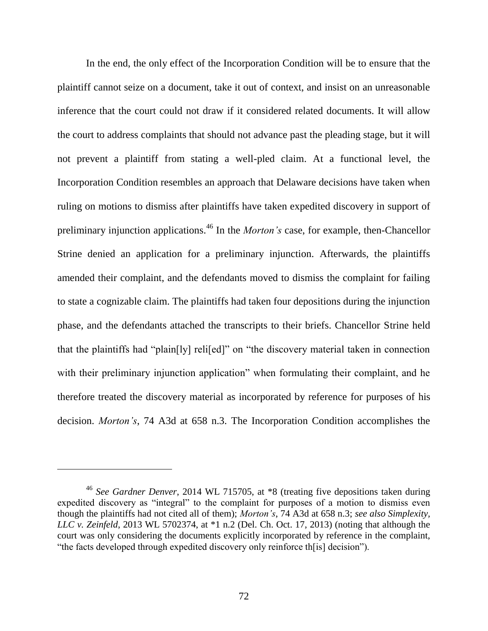In the end, the only effect of the Incorporation Condition will be to ensure that the plaintiff cannot seize on a document, take it out of context, and insist on an unreasonable inference that the court could not draw if it considered related documents. It will allow the court to address complaints that should not advance past the pleading stage, but it will not prevent a plaintiff from stating a well-pled claim. At a functional level, the Incorporation Condition resembles an approach that Delaware decisions have taken when ruling on motions to dismiss after plaintiffs have taken expedited discovery in support of preliminary injunction applications.<sup>46</sup> In the *Morton's* case, for example, then-Chancellor Strine denied an application for a preliminary injunction. Afterwards, the plaintiffs amended their complaint, and the defendants moved to dismiss the complaint for failing to state a cognizable claim. The plaintiffs had taken four depositions during the injunction phase, and the defendants attached the transcripts to their briefs. Chancellor Strine held that the plaintiffs had "plain[ly] reli[ed]" on "the discovery material taken in connection with their preliminary injunction application" when formulating their complaint, and he therefore treated the discovery material as incorporated by reference for purposes of his decision. *Morton's*, 74 A3d at 658 n.3. The Incorporation Condition accomplishes the

 $\overline{a}$ 

<sup>46</sup> *See Gardner Denver*, 2014 WL 715705, at \*8 (treating five depositions taken during expedited discovery as "integral" to the complaint for purposes of a motion to dismiss even though the plaintiffs had not cited all of them); *Morton's*, 74 A3d at 658 n.3; *see also Simplexity, LLC v. Zeinfeld*, 2013 WL 5702374, at \*1 n.2 (Del. Ch. Oct. 17, 2013) (noting that although the court was only considering the documents explicitly incorporated by reference in the complaint, "the facts developed through expedited discovery only reinforce th[is] decision").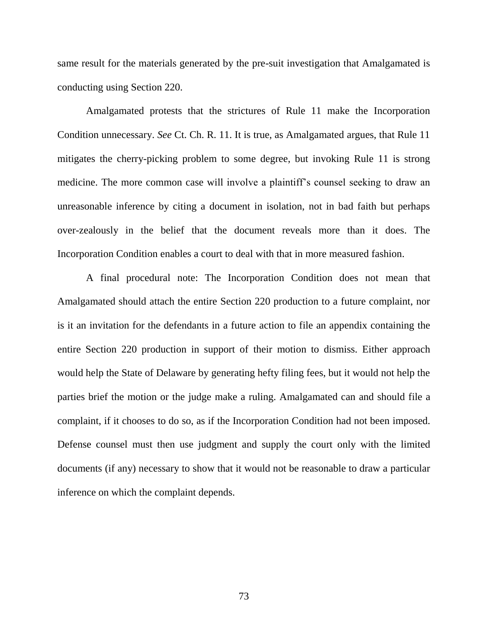same result for the materials generated by the pre-suit investigation that Amalgamated is conducting using Section 220.

Amalgamated protests that the strictures of Rule 11 make the Incorporation Condition unnecessary. *See* Ct. Ch. R. 11. It is true, as Amalgamated argues, that Rule 11 mitigates the cherry-picking problem to some degree, but invoking Rule 11 is strong medicine. The more common case will involve a plaintiff's counsel seeking to draw an unreasonable inference by citing a document in isolation, not in bad faith but perhaps over-zealously in the belief that the document reveals more than it does. The Incorporation Condition enables a court to deal with that in more measured fashion.

A final procedural note: The Incorporation Condition does not mean that Amalgamated should attach the entire Section 220 production to a future complaint, nor is it an invitation for the defendants in a future action to file an appendix containing the entire Section 220 production in support of their motion to dismiss. Either approach would help the State of Delaware by generating hefty filing fees, but it would not help the parties brief the motion or the judge make a ruling. Amalgamated can and should file a complaint, if it chooses to do so, as if the Incorporation Condition had not been imposed. Defense counsel must then use judgment and supply the court only with the limited documents (if any) necessary to show that it would not be reasonable to draw a particular inference on which the complaint depends.

73